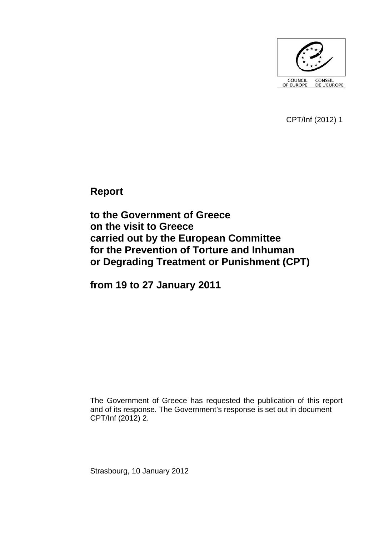

CPT/Inf (2012) 1

**Report** 

**to the Government of Greece on the visit to Greece carried out by the European Committee for the Prevention of Torture and Inhuman or Degrading Treatment or Punishment (CPT)** 

**from 19 to 27 January 2011** 

The Government of Greece has requested the publication of this report and of its response. The Government's response is set out in document CPT/Inf (2012) 2.

Strasbourg, 10 January 2012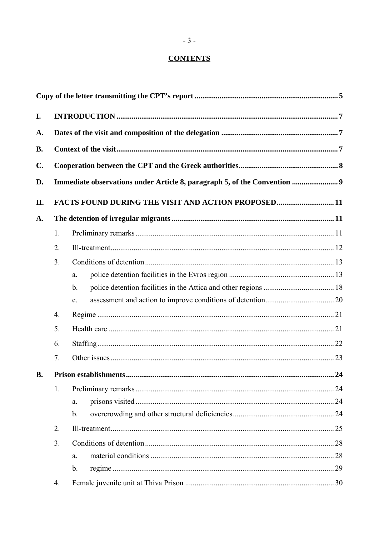# **CONTENTS**

| I.             |                                                                                                                                 |                |  |  |  |
|----------------|---------------------------------------------------------------------------------------------------------------------------------|----------------|--|--|--|
| A.             |                                                                                                                                 |                |  |  |  |
| <b>B.</b>      |                                                                                                                                 |                |  |  |  |
| $\mathbf{C}$ . |                                                                                                                                 |                |  |  |  |
| D.             | Immediate observations under Article 8, paragraph 5, of the Convention  9<br>FACTS FOUND DURING THE VISIT AND ACTION PROPOSED11 |                |  |  |  |
| II.            |                                                                                                                                 |                |  |  |  |
| A.             |                                                                                                                                 |                |  |  |  |
|                | 1.                                                                                                                              |                |  |  |  |
|                | 2.                                                                                                                              |                |  |  |  |
|                | 3 <sub>1</sub>                                                                                                                  |                |  |  |  |
|                |                                                                                                                                 | a.             |  |  |  |
|                |                                                                                                                                 | $\mathbf b$ .  |  |  |  |
|                |                                                                                                                                 | c.             |  |  |  |
|                | 4.                                                                                                                              |                |  |  |  |
|                | 5.                                                                                                                              |                |  |  |  |
|                | 6.                                                                                                                              |                |  |  |  |
|                | 7.                                                                                                                              |                |  |  |  |
| <b>B.</b>      |                                                                                                                                 |                |  |  |  |
|                | 1.                                                                                                                              |                |  |  |  |
|                |                                                                                                                                 | a.             |  |  |  |
|                |                                                                                                                                 | $\mathbf{b}$ . |  |  |  |
|                | 2.                                                                                                                              |                |  |  |  |
|                | 3 <sub>1</sub>                                                                                                                  |                |  |  |  |
|                |                                                                                                                                 | a.             |  |  |  |
|                |                                                                                                                                 | $\mathbf b$ .  |  |  |  |
|                | 4.                                                                                                                              |                |  |  |  |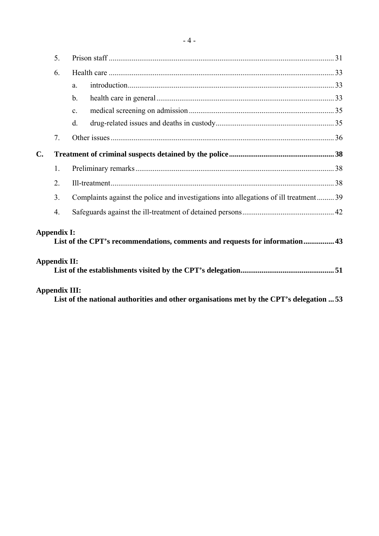|    | 5 <sub>1</sub>                            |                                                                                       |  |
|----|-------------------------------------------|---------------------------------------------------------------------------------------|--|
|    | 6.                                        |                                                                                       |  |
|    |                                           | a.                                                                                    |  |
|    |                                           | $\mathbf b$ .                                                                         |  |
|    |                                           | $\mathbf{C}$ .                                                                        |  |
|    |                                           | d.                                                                                    |  |
|    | 7 <sub>1</sub>                            |                                                                                       |  |
| C. |                                           |                                                                                       |  |
|    | 1.                                        |                                                                                       |  |
|    | 2.                                        |                                                                                       |  |
|    | 3.                                        | Complaints against the police and investigations into allegations of ill treatment 39 |  |
|    | $\overline{4}$ .                          |                                                                                       |  |
|    | <b>Appendix I:</b><br><b>Appendix II:</b> | List of the CPT's recommendations, comments and requests for information 43           |  |
|    | <b>Appendix III:</b>                      |                                                                                       |  |

**List of the national authorities and other organisations met by the CPT's delegation ... 53**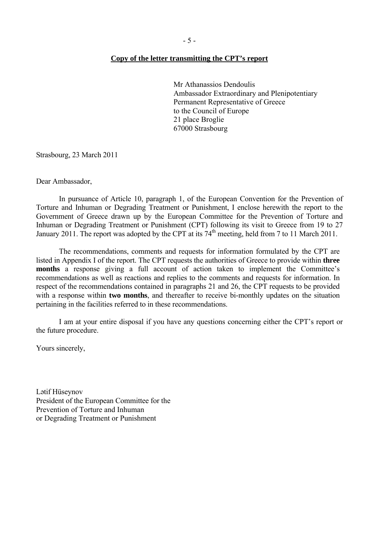#### **Copy of the letter transmitting the CPT's report**

Mr Athanassios Dendoulis Ambassador Extraordinary and Plenipotentiary Permanent Representative of Greece to the Council of Europe 21 place Broglie 67000 Strasbourg

Strasbourg, 23 March 2011

Dear Ambassador,

 In pursuance of Article 10, paragraph 1, of the European Convention for the Prevention of Torture and Inhuman or Degrading Treatment or Punishment, I enclose herewith the report to the Government of Greece drawn up by the European Committee for the Prevention of Torture and Inhuman or Degrading Treatment or Punishment (CPT) following its visit to Greece from 19 to 27 January 2011. The report was adopted by the CPT at its  $74<sup>th</sup>$  meeting, held from 7 to 11 March 2011.

 The recommendations, comments and requests for information formulated by the CPT are listed in Appendix I of the report. The CPT requests the authorities of Greece to provide within **three months** a response giving a full account of action taken to implement the Committee's recommendations as well as reactions and replies to the comments and requests for information. In respect of the recommendations contained in paragraphs 21 and 26, the CPT requests to be provided with a response within **two months**, and thereafter to receive bi-monthly updates on the situation pertaining in the facilities referred to in these recommendations.

 I am at your entire disposal if you have any questions concerning either the CPT's report or the future procedure.

Yours sincerely,

Lətif Hüseynov President of the European Committee for the Prevention of Torture and Inhuman or Degrading Treatment or Punishment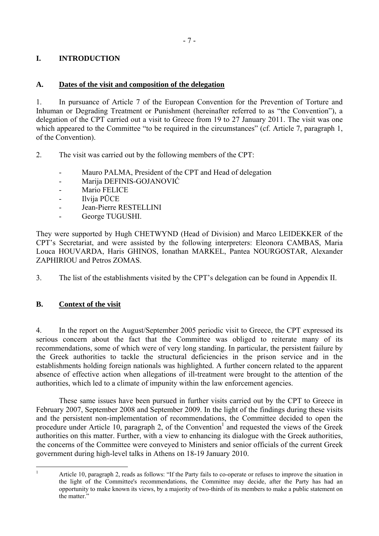# **I. INTRODUCTION**

# **A. Dates of the visit and composition of the delegation**

1. In pursuance of Article 7 of the European Convention for the Prevention of Torture and Inhuman or Degrading Treatment or Punishment (hereinafter referred to as "the Convention"), a delegation of the CPT carried out a visit to Greece from 19 to 27 January 2011. The visit was one which appeared to the Committee "to be required in the circumstances" (cf. Article 7, paragraph 1, of the Convention).

- 2. The visit was carried out by the following members of the CPT:
	- Mauro PALMA, President of the CPT and Head of delegation
	- Marija DEFINIS-GOJANOVIĆ
	- Mario FELICE
	- Ilvija PŪCE
	- Jean-Pierre RESTELLINI
	- George TUGUSHI.

They were supported by Hugh CHETWYND (Head of Division) and Marco LEIDEKKER of the CPT's Secretariat, and were assisted by the following interpreters: Eleonora CAMBAS, Maria Louca HOUVARDA, Haris GHINOS, Ionathan MARKEL, Pantea NOURGOSTAR, Alexander ZAPHIRIOU and Petros ZOMAS.

3. The list of the establishments visited by the CPT's delegation can be found in Appendix II.

# **B. Context of the visit**

4. In the report on the August/September 2005 periodic visit to Greece, the CPT expressed its serious concern about the fact that the Committee was obliged to reiterate many of its recommendations, some of which were of very long standing. In particular, the persistent failure by the Greek authorities to tackle the structural deficiencies in the prison service and in the establishments holding foreign nationals was highlighted. A further concern related to the apparent absence of effective action when allegations of ill-treatment were brought to the attention of the authorities, which led to a climate of impunity within the law enforcement agencies.

 These same issues have been pursued in further visits carried out by the CPT to Greece in February 2007, September 2008 and September 2009. In the light of the findings during these visits and the persistent non-implementation of recommendations, the Committee decided to open the procedure under Article 10, paragraph 2, of the Convention<sup>1</sup> and requested the views of the Greek authorities on this matter. Further, with a view to enhancing its dialogue with the Greek authorities, the concerns of the Committee were conveyed to Ministers and senior officials of the current Greek government during high-level talks in Athens on 18-19 January 2010.

 $\frac{1}{1}$ 

Article 10, paragraph 2, reads as follows: "If the Party fails to co-operate or refuses to improve the situation in the light of the Committee's recommendations, the Committee may decide, after the Party has had an opportunity to make known its views, by a majority of two-thirds of its members to make a public statement on the matter."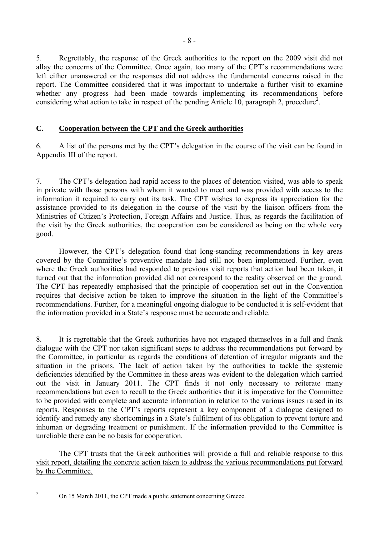5. Regrettably, the response of the Greek authorities to the report on the 2009 visit did not allay the concerns of the Committee. Once again, too many of the CPT's recommendations were left either unanswered or the responses did not address the fundamental concerns raised in the report. The Committee considered that it was important to undertake a further visit to examine whether any progress had been made towards implementing its recommendations before considering what action to take in respect of the pending Article 10, paragraph 2, procedure<sup>2</sup>.

# **C. Cooperation between the CPT and the Greek authorities**

6. A list of the persons met by the CPT's delegation in the course of the visit can be found in Appendix III of the report.

7. The CPT's delegation had rapid access to the places of detention visited, was able to speak in private with those persons with whom it wanted to meet and was provided with access to the information it required to carry out its task. The CPT wishes to express its appreciation for the assistance provided to its delegation in the course of the visit by the liaison officers from the Ministries of Citizen's Protection, Foreign Affairs and Justice. Thus, as regards the facilitation of the visit by the Greek authorities, the cooperation can be considered as being on the whole very good.

However, the CPT's delegation found that long-standing recommendations in key areas covered by the Committee's preventive mandate had still not been implemented. Further, even where the Greek authorities had responded to previous visit reports that action had been taken, it turned out that the information provided did not correspond to the reality observed on the ground. The CPT has repeatedly emphasised that the principle of cooperation set out in the Convention requires that decisive action be taken to improve the situation in the light of the Committee's recommendations. Further, for a meaningful ongoing dialogue to be conducted it is self-evident that the information provided in a State's response must be accurate and reliable.

8. It is regrettable that the Greek authorities have not engaged themselves in a full and frank dialogue with the CPT nor taken significant steps to address the recommendations put forward by the Committee, in particular as regards the conditions of detention of irregular migrants and the situation in the prisons. The lack of action taken by the authorities to tackle the systemic deficiencies identified by the Committee in these areas was evident to the delegation which carried out the visit in January 2011. The CPT finds it not only necessary to reiterate many recommendations but even to recall to the Greek authorities that it is imperative for the Committee to be provided with complete and accurate information in relation to the various issues raised in its reports. Responses to the CPT's reports represent a key component of a dialogue designed to identify and remedy any shortcomings in a State's fulfilment of its obligation to prevent torture and inhuman or degrading treatment or punishment. If the information provided to the Committee is unreliable there can be no basis for cooperation.

 The CPT trusts that the Greek authorities will provide a full and reliable response to this visit report, detailing the concrete action taken to address the various recommendations put forward by the Committee.

 $\frac{1}{2}$ 

On 15 March 2011, the CPT made a public statement concerning Greece.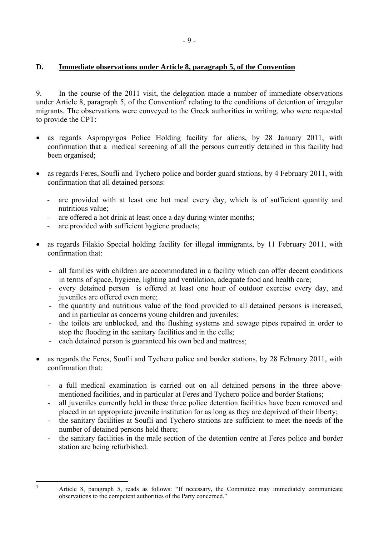# **D. Immediate observations under Article 8, paragraph 5, of the Convention**

9. In the course of the 2011 visit, the delegation made a number of immediate observations under Article 8, paragraph 5, of the Convention<sup>3</sup> relating to the conditions of detention of irregular migrants. The observations were conveyed to the Greek authorities in writing, who were requested to provide the CPT:

- as regards Aspropyrgos Police Holding facility for aliens, by 28 January 2011, with confirmation that a medical screening of all the persons currently detained in this facility had been organised;
- as regards Feres, Soufli and Tychero police and border guard stations, by 4 February 2011, with confirmation that all detained persons:
	- are provided with at least one hot meal every day, which is of sufficient quantity and nutritious value;
	- are offered a hot drink at least once a day during winter months;
	- are provided with sufficient hygiene products;
- as regards Filakio Special holding facility for illegal immigrants, by 11 February 2011, with confirmation that:
	- all families with children are accommodated in a facility which can offer decent conditions in terms of space, hygiene, lighting and ventilation, adequate food and health care;
	- every detained person is offered at least one hour of outdoor exercise every day, and juveniles are offered even more;
	- the quantity and nutritious value of the food provided to all detained persons is increased, and in particular as concerns young children and juveniles;
	- the toilets are unblocked, and the flushing systems and sewage pipes repaired in order to stop the flooding in the sanitary facilities and in the cells;
	- each detained person is guaranteed his own bed and mattress;
- as regards the Feres, Soufli and Tychero police and border stations, by 28 February 2011, with confirmation that:
	- a full medical examination is carried out on all detained persons in the three abovementioned facilities, and in particular at Feres and Tychero police and border Stations;
	- all juveniles currently held in these three police detention facilities have been removed and placed in an appropriate juvenile institution for as long as they are deprived of their liberty;
	- the sanitary facilities at Soufli and Tychero stations are sufficient to meet the needs of the number of detained persons held there;
	- the sanitary facilities in the male section of the detention centre at Feres police and border station are being refurbished.

<sup>&</sup>lt;sup>2</sup><br>3

Article 8, paragraph 5, reads as follows: "If necessary, the Committee may immediately communicate observations to the competent authorities of the Party concerned."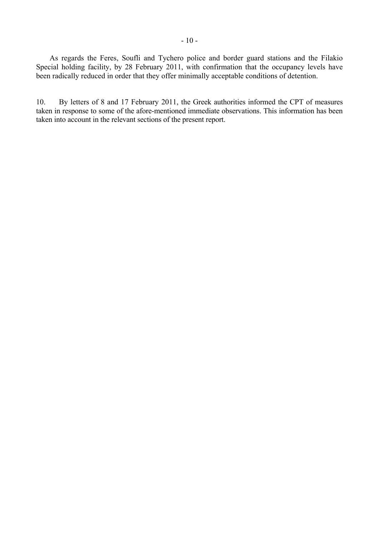As regards the Feres, Soufli and Tychero police and border guard stations and the Filakio Special holding facility, by 28 February 2011, with confirmation that the occupancy levels have been radically reduced in order that they offer minimally acceptable conditions of detention.

10. By letters of 8 and 17 February 2011, the Greek authorities informed the CPT of measures taken in response to some of the afore-mentioned immediate observations. This information has been taken into account in the relevant sections of the present report.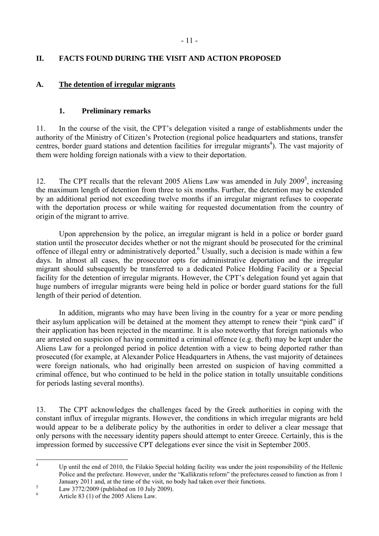# **II. FACTS FOUND DURING THE VISIT AND ACTION PROPOSED**

# **A. The detention of irregular migrants**

# **1. Preliminary remarks**

11. In the course of the visit, the CPT's delegation visited a range of establishments under the authority of the Ministry of Citizen's Protection (regional police headquarters and stations, transfer centres, border guard stations and detention facilities for irregular migrants<sup>4</sup>). The vast majority of them were holding foreign nationals with a view to their deportation.

12. The CPT recalls that the relevant 2005 Aliens Law was amended in July  $2009<sup>5</sup>$ , increasing the maximum length of detention from three to six months. Further, the detention may be extended by an additional period not exceeding twelve months if an irregular migrant refuses to cooperate with the deportation process or while waiting for requested documentation from the country of origin of the migrant to arrive.

 Upon apprehension by the police, an irregular migrant is held in a police or border guard station until the prosecutor decides whether or not the migrant should be prosecuted for the criminal offence of illegal entry or administratively deported.<sup>6</sup> Usually, such a decision is made within a few days. In almost all cases, the prosecutor opts for administrative deportation and the irregular migrant should subsequently be transferred to a dedicated Police Holding Facility or a Special facility for the detention of irregular migrants. However, the CPT's delegation found yet again that huge numbers of irregular migrants were being held in police or border guard stations for the full length of their period of detention.

In addition, migrants who may have been living in the country for a year or more pending their asylum application will be detained at the moment they attempt to renew their "pink card" if their application has been rejected in the meantime. It is also noteworthy that foreign nationals who are arrested on suspicion of having committed a criminal offence (e.g. theft) may be kept under the Aliens Law for a prolonged period in police detention with a view to being deported rather than prosecuted (for example, at Alexander Police Headquarters in Athens, the vast majority of detainees were foreign nationals, who had originally been arrested on suspicion of having committed a criminal offence, but who continued to be held in the police station in totally unsuitable conditions for periods lasting several months).

13. The CPT acknowledges the challenges faced by the Greek authorities in coping with the constant influx of irregular migrants. However, the conditions in which irregular migrants are held would appear to be a deliberate policy by the authorities in order to deliver a clear message that only persons with the necessary identity papers should attempt to enter Greece. Certainly, this is the impression formed by successive CPT delegations ever since the visit in September 2005.

 $\frac{1}{4}$  Up until the end of 2010, the Filakio Special holding facility was under the joint responsibility of the Hellenic Police and the prefecture. However, under the "Kallikratis reform" the prefectures ceased to function as from 1 January 2011 and, at the time of the visit, no body had taken over their functions.

Law 3772/2009 (published on 10 July 2009).

<sup>6</sup> Article 83 (1) of the 2005 Aliens Law.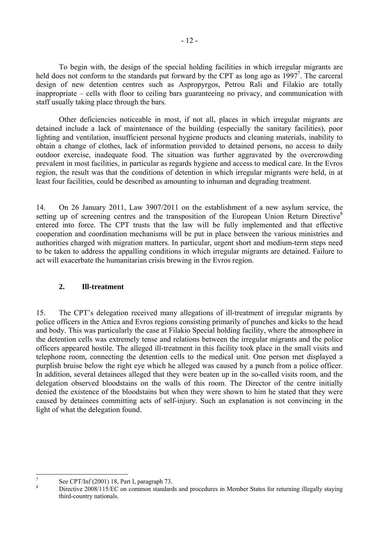To begin with, the design of the special holding facilities in which irregular migrants are held does not conform to the standards put forward by the CPT as long ago as 1997<sup>7</sup>. The carceral design of new detention centres such as Aspropyrgos, Petrou Rali and Filakio are totally inappropriate – cells with floor to ceiling bars guaranteeing no privacy, and communication with staff usually taking place through the bars.

 Other deficiencies noticeable in most, if not all, places in which irregular migrants are detained include a lack of maintenance of the building (especially the sanitary facilities), poor lighting and ventilation, insufficient personal hygiene products and cleaning materials, inability to obtain a change of clothes, lack of information provided to detained persons, no access to daily outdoor exercise, inadequate food. The situation was further aggravated by the overcrowding prevalent in most facilities, in particular as regards hygiene and access to medical care. In the Evros region, the result was that the conditions of detention in which irregular migrants were held, in at least four facilities, could be described as amounting to inhuman and degrading treatment.

14. On 26 January 2011, Law 3907/2011 on the establishment of a new asylum service, the setting up of screening centres and the transposition of the European Union Return Directive<sup>8</sup> entered into force. The CPT trusts that the law will be fully implemented and that effective cooperation and coordination mechanisms will be put in place between the various ministries and authorities charged with migration matters. In particular, urgent short and medium-term steps need to be taken to address the appalling conditions in which irregular migrants are detained. Failure to act will exacerbate the humanitarian crisis brewing in the Evros region.

# **2. Ill-treatment**

15. The CPT's delegation received many allegations of ill-treatment of irregular migrants by police officers in the Attica and Evros regions consisting primarily of punches and kicks to the head and body. This was particularly the case at Filakio Special holding facility, where the atmosphere in the detention cells was extremely tense and relations between the irregular migrants and the police officers appeared hostile. The alleged ill-treatment in this facility took place in the small visits and telephone room, connecting the detention cells to the medical unit. One person met displayed a purplish bruise below the right eye which he alleged was caused by a punch from a police officer. In addition, several detainees alleged that they were beaten up in the so-called visits room, and the delegation observed bloodstains on the walls of this room. The Director of the centre initially denied the existence of the bloodstains but when they were shown to him he stated that they were caused by detainees committing acts of self-injury. Such an explanation is not convincing in the light of what the delegation found.

<sup>-&</sup>lt;br>7 See CPT/Inf (2001) 18, Part I, paragraph 73. 8

Directive 2008/115/EC on common standards and procedures in Member States for returning illegally staying third-country nationals.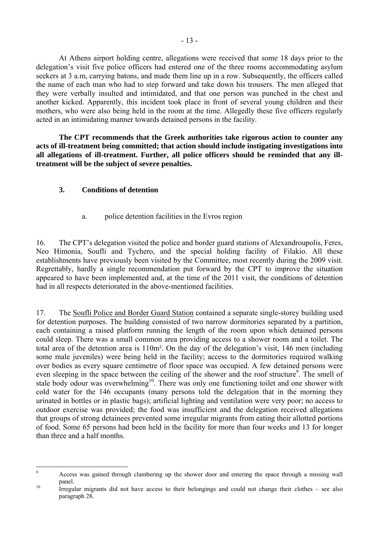At Athens airport holding centre, allegations were received that some 18 days prior to the delegation's visit five police officers had entered one of the three rooms accommodating asylum seekers at 3 a.m, carrying batons, and made them line up in a row. Subsequently, the officers called the name of each man who had to step forward and take down his trousers. The men alleged that they were verbally insulted and intimidated, and that one person was punched in the chest and another kicked. Apparently, this incident took place in front of several young children and their mothers, who were also being held in the room at the time. Allegedly these five officers regularly acted in an intimidating manner towards detained persons in the facility.

**The CPT recommends that the Greek authorities take rigorous action to counter any acts of ill-treatment being committed; that action should include instigating investigations into all allegations of ill-treatment. Further, all police officers should be reminded that any illtreatment will be the subject of severe penalties.** 

# **3. Conditions of detention**

# a. police detention facilities in the Evros region

16. The CPT's delegation visited the police and border guard stations of Alexandroupolis, Feres, Neo Himonia, Soufli and Tychero, and the special holding facility of Filakio. All these establishments have previously been visited by the Committee, most recently during the 2009 visit. Regrettably, hardly a single recommendation put forward by the CPT to improve the situation appeared to have been implemented and, at the time of the 2011 visit, the conditions of detention had in all respects deteriorated in the above-mentioned facilities.

17. The Soufli Police and Border Guard Station contained a separate single-storey building used for detention purposes. The building consisted of two narrow dormitories separated by a partition, each containing a raised platform running the length of the room upon which detained persons could sleep. There was a small common area providing access to a shower room and a toilet. The total area of the detention area is 110m². On the day of the delegation's visit, 146 men (including some male juveniles) were being held in the facility; access to the dormitories required walking over bodies as every square centimetre of floor space was occupied. A few detained persons were even sleeping in the space between the ceiling of the shower and the roof structure<sup>9</sup>. The smell of stale body odour was overwhelming<sup>10</sup>. There was only one functioning toilet and one shower with cold water for the 146 occupants (many persons told the delegation that in the morning they urinated in bottles or in plastic bags); artificial lighting and ventilation were very poor; no access to outdoor exercise was provided; the food was insufficient and the delegation received allegations that groups of strong detainees prevented some irregular migrants from eating their allotted portions of food. Some 65 persons had been held in the facility for more than four weeks and 13 for longer than three and a half months.

<sup>-&</sup>lt;br>9 Access was gained through clambering up the shower door and entering the space through a missing wall

panel.<br><sup>10</sup> Irregular migrants did not have access to their belongings and could not change their clothes – see also paragraph 28.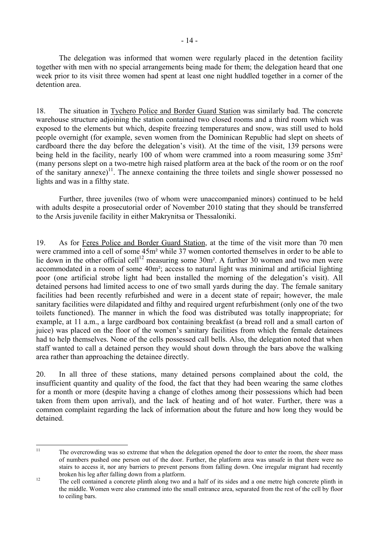The delegation was informed that women were regularly placed in the detention facility together with men with no special arrangements being made for them; the delegation heard that one week prior to its visit three women had spent at least one night huddled together in a corner of the detention area.

18. The situation in Tychero Police and Border Guard Station was similarly bad. The concrete warehouse structure adjoining the station contained two closed rooms and a third room which was exposed to the elements but which, despite freezing temperatures and snow, was still used to hold people overnight (for example, seven women from the Dominican Republic had slept on sheets of cardboard there the day before the delegation's visit). At the time of the visit, 139 persons were being held in the facility, nearly 100 of whom were crammed into a room measuring some 35m<sup>2</sup> (many persons slept on a two-metre high raised platform area at the back of the room or on the roof of the sanitary annexe)<sup>11</sup>. The annexe containing the three toilets and single shower possessed no lights and was in a filthy state.

 Further, three juveniles (two of whom were unaccompanied minors) continued to be held with adults despite a prosecutorial order of November 2010 stating that they should be transferred to the Arsis juvenile facility in either Makrynitsa or Thessaloniki.

19. As for Feres Police and Border Guard Station, at the time of the visit more than 70 men were crammed into a cell of some 45m² while 37 women contorted themselves in order to be able to lie down in the other official cell<sup>12</sup> measuring some  $30m^2$ . A further 30 women and two men were accommodated in a room of some 40m²; access to natural light was minimal and artificial lighting poor (one artificial strobe light had been installed the morning of the delegation's visit). All detained persons had limited access to one of two small yards during the day. The female sanitary facilities had been recently refurbished and were in a decent state of repair; however, the male sanitary facilities were dilapidated and filthy and required urgent refurbishment (only one of the two toilets functioned). The manner in which the food was distributed was totally inappropriate; for example, at 11 a.m., a large cardboard box containing breakfast (a bread roll and a small carton of juice) was placed on the floor of the women's sanitary facilities from which the female detainees had to help themselves. None of the cells possessed call bells. Also, the delegation noted that when staff wanted to call a detained person they would shout down through the bars above the walking area rather than approaching the detainee directly.

20. In all three of these stations, many detained persons complained about the cold, the insufficient quantity and quality of the food, the fact that they had been wearing the same clothes for a month or more (despite having a change of clothes among their possessions which had been taken from them upon arrival), and the lack of heating and of hot water. Further, there was a common complaint regarding the lack of information about the future and how long they would be detained.

 $11$ The overcrowding was so extreme that when the delegation opened the door to enter the room, the sheer mass of numbers pushed one person out of the door. Further, the platform area was unsafe in that there were no stairs to access it, nor any barriers to prevent persons from falling down. One irregular migrant had recently <sup>12</sup> The cell contained a concrete plinth along two and a half of its sides and a one metre high concrete plinth in

the middle. Women were also crammed into the small entrance area, separated from the rest of the cell by floor to ceiling bars.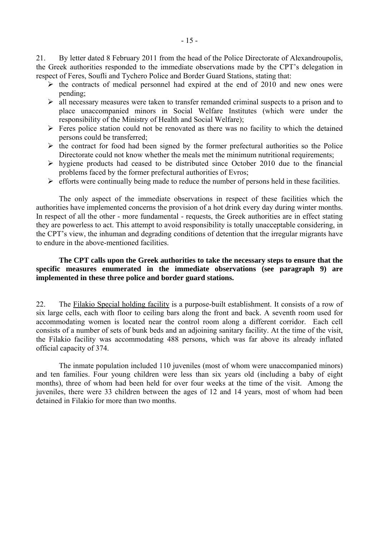21. By letter dated 8 February 2011 from the head of the Police Directorate of Alexandroupolis, the Greek authorities responded to the immediate observations made by the CPT's delegation in respect of Feres, Soufli and Tychero Police and Border Guard Stations, stating that:

- $\triangleright$  the contracts of medical personnel had expired at the end of 2010 and new ones were pending;
- $\triangleright$  all necessary measures were taken to transfer remanded criminal suspects to a prison and to place unaccompanied minors in Social Welfare Institutes (which were under the responsibility of the Ministry of Health and Social Welfare);
- $\triangleright$  Feres police station could not be renovated as there was no facility to which the detained persons could be transferred;
- $\triangleright$  the contract for food had been signed by the former prefectural authorities so the Police Directorate could not know whether the meals met the minimum nutritional requirements;
- $\triangleright$  hygiene products had ceased to be distributed since October 2010 due to the financial problems faced by the former prefectural authorities of Evros;
- $\triangleright$  efforts were continually being made to reduce the number of persons held in these facilities.

 The only aspect of the immediate observations in respect of these facilities which the authorities have implemented concerns the provision of a hot drink every day during winter months. In respect of all the other - more fundamental - requests, the Greek authorities are in effect stating they are powerless to act. This attempt to avoid responsibility is totally unacceptable considering, in the CPT's view, the inhuman and degrading conditions of detention that the irregular migrants have to endure in the above-mentioned facilities.

## **The CPT calls upon the Greek authorities to take the necessary steps to ensure that the specific measures enumerated in the immediate observations (see paragraph 9) are implemented in these three police and border guard stations.**

22. The Filakio Special holding facility is a purpose-built establishment. It consists of a row of six large cells, each with floor to ceiling bars along the front and back. A seventh room used for accommodating women is located near the control room along a different corridor. Each cell consists of a number of sets of bunk beds and an adjoining sanitary facility. At the time of the visit, the Filakio facility was accommodating 488 persons, which was far above its already inflated official capacity of 374.

 The inmate population included 110 juveniles (most of whom were unaccompanied minors) and ten families. Four young children were less than six years old (including a baby of eight months), three of whom had been held for over four weeks at the time of the visit. Among the juveniles, there were 33 children between the ages of 12 and 14 years, most of whom had been detained in Filakio for more than two months.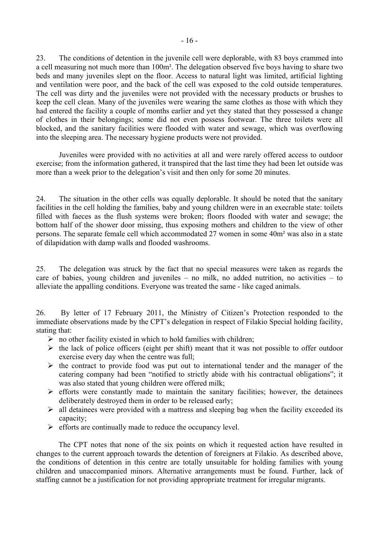23. The conditions of detention in the juvenile cell were deplorable, with 83 boys crammed into a cell measuring not much more than 100m². The delegation observed five boys having to share two beds and many juveniles slept on the floor. Access to natural light was limited, artificial lighting and ventilation were poor, and the back of the cell was exposed to the cold outside temperatures. The cell was dirty and the juveniles were not provided with the necessary products or brushes to keep the cell clean. Many of the juveniles were wearing the same clothes as those with which they had entered the facility a couple of months earlier and yet they stated that they possessed a change of clothes in their belongings; some did not even possess footwear. The three toilets were all blocked, and the sanitary facilities were flooded with water and sewage, which was overflowing into the sleeping area. The necessary hygiene products were not provided.

Juveniles were provided with no activities at all and were rarely offered access to outdoor exercise; from the information gathered, it transpired that the last time they had been let outside was more than a week prior to the delegation's visit and then only for some 20 minutes.

24. The situation in the other cells was equally deplorable. It should be noted that the sanitary facilities in the cell holding the families, baby and young children were in an execrable state: toilets filled with faeces as the flush systems were broken; floors flooded with water and sewage; the bottom half of the shower door missing, thus exposing mothers and children to the view of other persons. The separate female cell which accommodated 27 women in some 40m² was also in a state of dilapidation with damp walls and flooded washrooms.

25. The delegation was struck by the fact that no special measures were taken as regards the care of babies, young children and juveniles – no milk, no added nutrition, no activities – to alleviate the appalling conditions. Everyone was treated the same - like caged animals.

26. By letter of 17 February 2011, the Ministry of Citizen's Protection responded to the immediate observations made by the CPT's delegation in respect of Filakio Special holding facility, stating that:

- $\triangleright$  no other facility existed in which to hold families with children;
- $\triangleright$  the lack of police officers (eight per shift) meant that it was not possible to offer outdoor exercise every day when the centre was full;
- $\triangleright$  the contract to provide food was put out to international tender and the manager of the catering company had been "notified to strictly abide with his contractual obligations"; it was also stated that young children were offered milk;
- $\triangleright$  efforts were constantly made to maintain the sanitary facilities; however, the detainees deliberately destroyed them in order to be released early;
- $\triangleright$  all detainees were provided with a mattress and sleeping bag when the facility exceeded its capacity;
- $\triangleright$  efforts are continually made to reduce the occupancy level.

The CPT notes that none of the six points on which it requested action have resulted in changes to the current approach towards the detention of foreigners at Filakio. As described above, the conditions of detention in this centre are totally unsuitable for holding families with young children and unaccompanied minors. Alternative arrangements must be found. Further, lack of staffing cannot be a justification for not providing appropriate treatment for irregular migrants.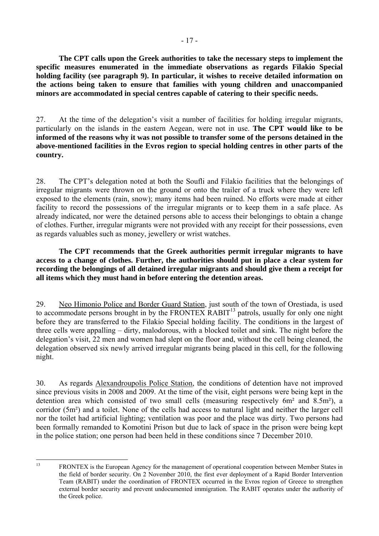**The CPT calls upon the Greek authorities to take the necessary steps to implement the specific measures enumerated in the immediate observations as regards Filakio Special holding facility (see paragraph 9). In particular, it wishes to receive detailed information on the actions being taken to ensure that families with young children and unaccompanied minors are accommodated in special centres capable of catering to their specific needs.** 

27. At the time of the delegation's visit a number of facilities for holding irregular migrants, particularly on the islands in the eastern Aegean, were not in use. **The CPT would like to be informed of the reasons why it was not possible to transfer some of the persons detained in the above-mentioned facilities in the Evros region to special holding centres in other parts of the country.** 

28. The CPT's delegation noted at both the Soufli and Filakio facilities that the belongings of irregular migrants were thrown on the ground or onto the trailer of a truck where they were left exposed to the elements (rain, snow); many items had been ruined. No efforts were made at either facility to record the possessions of the irregular migrants or to keep them in a safe place. As already indicated, nor were the detained persons able to access their belongings to obtain a change of clothes. Further, irregular migrants were not provided with any receipt for their possessions, even as regards valuables such as money, jewellery or wrist watches.

**The CPT recommends that the Greek authorities permit irregular migrants to have access to a change of clothes. Further, the authorities should put in place a clear system for recording the belongings of all detained irregular migrants and should give them a receipt for all items which they must hand in before entering the detention areas.** 

29. Neo Himonio Police and Border Guard Station, just south of the town of Orestiada, is used to accommodate persons brought in by the FRONTEX RABIT<sup>13</sup> patrols, usually for only one night before they are transferred to the Filakio Special holding facility. The conditions in the largest of three cells were appalling – dirty, malodorous, with a blocked toilet and sink. The night before the delegation's visit, 22 men and women had slept on the floor and, without the cell being cleaned, the delegation observed six newly arrived irregular migrants being placed in this cell, for the following night.

30. As regards Alexandroupolis Police Station, the conditions of detention have not improved since previous visits in 2008 and 2009. At the time of the visit, eight persons were being kept in the detention area which consisted of two small cells (measuring respectively 6m² and 8.5m²), a corridor (5m²) and a toilet. None of the cells had access to natural light and neither the larger cell nor the toilet had artificial lighting; ventilation was poor and the place was dirty. Two persons had been formally remanded to Komotini Prison but due to lack of space in the prison were being kept in the police station; one person had been held in these conditions since 7 December 2010.

 $13$ 

FRONTEX is the European Agency for the management of operational cooperation between Member States in the field of border security. On 2 November 2010, the first ever deployment of a Rapid Border Intervention Team (RABIT) under the coordination of FRONTEX occurred in the Evros region of Greece to strengthen external border security and prevent undocumented immigration. The RABIT operates under the authority of the Greek police.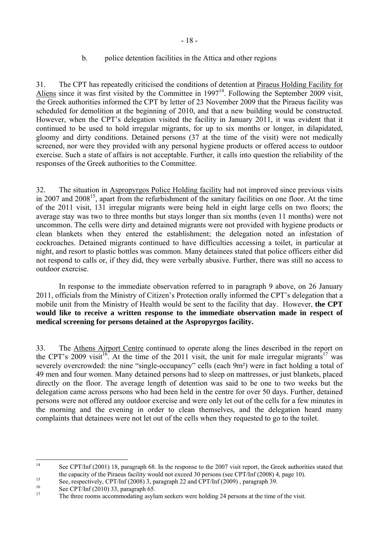# b. police detention facilities in the Attica and other regions

31. The CPT has repeatedly criticised the conditions of detention at Piraeus Holding Facility for Aliens since it was first visited by the Committee in  $1997<sup>14</sup>$ . Following the September 2009 visit, the Greek authorities informed the CPT by letter of 23 November 2009 that the Piraeus facility was scheduled for demolition at the beginning of 2010, and that a new building would be constructed. However, when the CPT's delegation visited the facility in January 2011, it was evident that it continued to be used to hold irregular migrants, for up to six months or longer, in dilapidated, gloomy and dirty conditions. Detained persons (37 at the time of the visit) were not medically screened, nor were they provided with any personal hygiene products or offered access to outdoor exercise. Such a state of affairs is not acceptable. Further, it calls into question the reliability of the responses of the Greek authorities to the Committee.

32. The situation in Aspropyrgos Police Holding facility had not improved since previous visits in 2007 and  $2008<sup>15</sup>$ , apart from the refurbishment of the sanitary facilities on one floor. At the time of the 2011 visit, 131 irregular migrants were being held in eight large cells on two floors; the average stay was two to three months but stays longer than six months (even 11 months) were not uncommon. The cells were dirty and detained migrants were not provided with hygiene products or clean blankets when they entered the establishment; the delegation noted an infestation of cockroaches. Detained migrants continued to have difficulties accessing a toilet, in particular at night, and resort to plastic bottles was common. Many detainees stated that police officers either did not respond to calls or, if they did, they were verbally abusive. Further, there was still no access to outdoor exercise.

 In response to the immediate observation referred to in paragraph 9 above, on 26 January 2011, officials from the Ministry of Citizen's Protection orally informed the CPT's delegation that a mobile unit from the Ministry of Health would be sent to the facility that day. However, **the CPT would like to receive a written response to the immediate observation made in respect of medical screening for persons detained at the Aspropyrgos facility.** 

33. The Athens Airport Centre continued to operate along the lines described in the report on the CPT's  $2009$  visit<sup>16</sup>. At the time of the 2011 visit, the unit for male irregular migrants<sup>17</sup> was severely overcrowded: the nine "single-occupancy" cells (each 9m²) were in fact holding a total of 49 men and four women. Many detained persons had to sleep on mattresses, or just blankets, placed directly on the floor. The average length of detention was said to be one to two weeks but the delegation came across persons who had been held in the centre for over 50 days. Further, detained persons were not offered any outdoor exercise and were only let out of the cells for a few minutes in the morning and the evening in order to clean themselves, and the delegation heard many complaints that detainees were not let out of the cells when they requested to go to the toilet.

 $14$ See CPT/Inf (2001) 18, paragraph 68. In the response to the 2007 visit report, the Greek authorities stated that the capacity of the Piraeus facility would not exceed 30 persons (see CPT/Inf (2008) 4, page 10).<br>
See, respectively, CPT/Inf (2008) 3, paragraph 22 and CPT/Inf (2009) , paragraph 39.

 $\frac{16}{17}$  See CPT/Inf (2010) 33, paragraph 65.

<sup>17</sup> The three rooms accommodating asylum seekers were holding 24 persons at the time of the visit.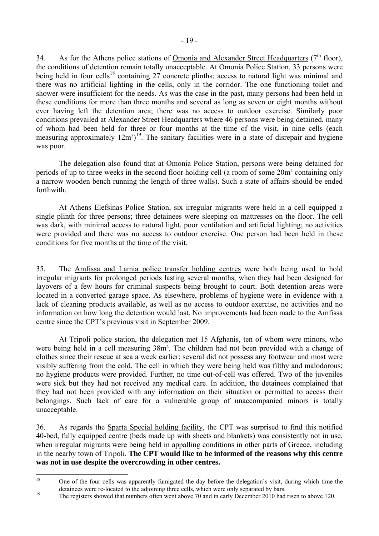34. As for the Athens police stations of Omonia and Alexander Street Headquarters  $(7<sup>th</sup>$  floor), the conditions of detention remain totally unacceptable. At Omonia Police Station, 33 persons were being held in four cells<sup>18</sup> containing 27 concrete plinths; access to natural light was minimal and there was no artificial lighting in the cells, only in the corridor. The one functioning toilet and shower were insufficient for the needs. As was the case in the past, many persons had been held in these conditions for more than three months and several as long as seven or eight months without ever having left the detention area; there was no access to outdoor exercise. Similarly poor conditions prevailed at Alexander Street Headquarters where 46 persons were being detained, many of whom had been held for three or four months at the time of the visit, in nine cells (each measuring approximately  $12m^2$ <sup>19</sup>. The sanitary facilities were in a state of disrepair and hygiene was poor.

 The delegation also found that at Omonia Police Station, persons were being detained for periods of up to three weeks in the second floor holding cell (a room of some 20m² containing only a narrow wooden bench running the length of three walls). Such a state of affairs should be ended forthwith.

At Athens Elefsinas Police Station, six irregular migrants were held in a cell equipped a single plinth for three persons; three detainees were sleeping on mattresses on the floor. The cell was dark, with minimal access to natural light, poor ventilation and artificial lighting; no activities were provided and there was no access to outdoor exercise. One person had been held in these conditions for five months at the time of the visit.

35. The Amfissa and Lamia police transfer holding centres were both being used to hold irregular migrants for prolonged periods lasting several months, when they had been designed for layovers of a few hours for criminal suspects being brought to court. Both detention areas were located in a converted garage space. As elsewhere, problems of hygiene were in evidence with a lack of cleaning products available, as well as no access to outdoor exercise, no activities and no information on how long the detention would last. No improvements had been made to the Amfissa centre since the CPT's previous visit in September 2009.

 At Tripoli police station, the delegation met 15 Afghanis, ten of whom were minors, who were being held in a cell measuring 38m². The children had not been provided with a change of clothes since their rescue at sea a week earlier; several did not possess any footwear and most were visibly suffering from the cold. The cell in which they were being held was filthy and malodorous; no hygiene products were provided. Further, no time out-of-cell was offered. Two of the juveniles were sick but they had not received any medical care. In addition, the detainees complained that they had not been provided with any information on their situation or permitted to access their belongings. Such lack of care for a vulnerable group of unaccompanied minors is totally unacceptable.

36. As regards the Sparta Special holding facility, the CPT was surprised to find this notified 40-bed, fully equipped centre (beds made up with sheets and blankets) was consistently not in use, when irregular migrants were being held in appalling conditions in other parts of Greece, including in the nearby town of Tripoli. **The CPT would like to be informed of the reasons why this centre was not in use despite the overcrowding in other centres.** 

<sup>18</sup> 18 One of the four cells was apparently fumigated the day before the delegation's visit, during which time the detainees were re-located to the adjoining three cells, which were only separated by bars.<br>The registers showed that numbers often went above 70 and in early December 2010 had risen to above 120.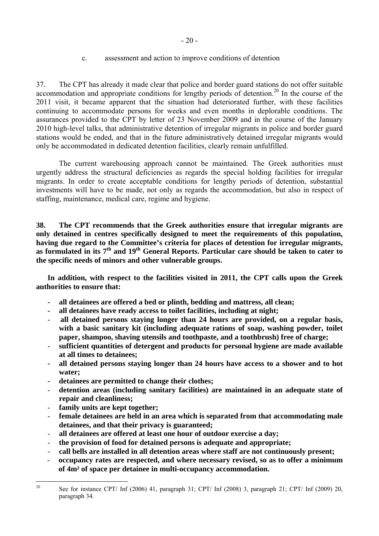# c. assessment and action to improve conditions of detention

37. The CPT has already it made clear that police and border guard stations do not offer suitable accommodation and appropriate conditions for lengthy periods of detention.<sup>20</sup> In the course of the 2011 visit, it became apparent that the situation had deteriorated further, with these facilities continuing to accommodate persons for weeks and even months in deplorable conditions. The assurances provided to the CPT by letter of 23 November 2009 and in the course of the January 2010 high-level talks, that administrative detention of irregular migrants in police and border guard stations would be ended, and that in the future administratively detained irregular migrants would only be accommodated in dedicated detention facilities, clearly remain unfulfilled.

The current warehousing approach cannot be maintained. The Greek authorities must urgently address the structural deficiencies as regards the special holding facilities for irregular migrants. In order to create acceptable conditions for lengthy periods of detention, substantial investments will have to be made, not only as regards the accommodation, but also in respect of staffing, maintenance, medical care, regime and hygiene.

**38. The CPT recommends that the Greek authorities ensure that irregular migrants are only detained in centres specifically designed to meet the requirements of this population, having due regard to the Committee's criteria for places of detention for irregular migrants, as formulated in its 7th and 19th General Reports. Particular care should be taken to cater to the specific needs of minors and other vulnerable groups.** 

**In addition, with respect to the facilities visited in 2011, the CPT calls upon the Greek authorities to ensure that:** 

- **all detainees are offered a bed or plinth, bedding and mattress, all clean;**
- **- all detainees have ready access to toilet facilities, including at night;**
- **all detained persons staying longer than 24 hours are provided, on a regular basis, with a basic sanitary kit (including adequate rations of soap, washing powder, toilet paper, shampoo, shaving utensils and toothpaste, and a toothbrush) free of charge;**
- **sufficient quantities of detergent and products for personal hygiene are made available at all times to detainees;**
- **all detained persons staying longer than 24 hours have access to a shower and to hot water;**
- **detainees are permitted to change their clothes;**
- **detention areas (including sanitary facilities) are maintained in an adequate state of repair and cleanliness;**
- family units are kept together;
- **female detainees are held in an area which is separated from that accommodating male detainees, and that their privacy is guaranteed;**
- **all detainees are offered at least one hour of outdoor exercise a day;**
- **the provision of food for detained persons is adequate and appropriate;**
- **call bells are installed in all detention areas where staff are not continuously present;**
- **occupancy rates are respected, and where necessary revised, so as to offer a minimum of 4m² of space per detainee in multi-occupancy accommodation.**

 $20$ 20 See for instance CPT/ Inf (2006) 41, paragraph 31; CPT/ Inf (2008) 3, paragraph 21; CPT/ Inf (2009) 20, paragraph 34.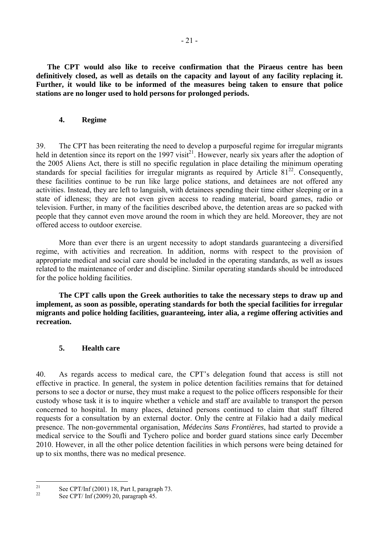**The CPT would also like to receive confirmation that the Piraeus centre has been definitively closed, as well as details on the capacity and layout of any facility replacing it. Further, it would like to be informed of the measures being taken to ensure that police stations are no longer used to hold persons for prolonged periods.** 

## **4. Regime**

39. The CPT has been reiterating the need to develop a purposeful regime for irregular migrants held in detention since its report on the 1997 visit<sup>21</sup>. However, nearly six years after the adoption of the 2005 Aliens Act, there is still no specific regulation in place detailing the minimum operating standards for special facilities for irregular migrants as required by Article  $81^{22}$ . Consequently, these facilities continue to be run like large police stations, and detainees are not offered any activities. Instead, they are left to languish, with detainees spending their time either sleeping or in a state of idleness; they are not even given access to reading material, board games, radio or television. Further, in many of the facilities described above, the detention areas are so packed with people that they cannot even move around the room in which they are held. Moreover, they are not offered access to outdoor exercise.

More than ever there is an urgent necessity to adopt standards guaranteeing a diversified regime, with activities and recreation. In addition, norms with respect to the provision of appropriate medical and social care should be included in the operating standards, as well as issues related to the maintenance of order and discipline. Similar operating standards should be introduced for the police holding facilities.

**The CPT calls upon the Greek authorities to take the necessary steps to draw up and implement, as soon as possible, operating standards for both the special facilities for irregular migrants and police holding facilities, guaranteeing, inter alia, a regime offering activities and recreation.**

# **5. Health care**

40. As regards access to medical care, the CPT's delegation found that access is still not effective in practice. In general, the system in police detention facilities remains that for detained persons to see a doctor or nurse, they must make a request to the police officers responsible for their custody whose task it is to inquire whether a vehicle and staff are available to transport the person concerned to hospital. In many places, detained persons continued to claim that staff filtered requests for a consultation by an external doctor. Only the centre at Filakio had a daily medical presence. The non-governmental organisation, *Médecins Sans Frontières*, had started to provide a medical service to the Soufli and Tychero police and border guard stations since early December 2010. However, in all the other police detention facilities in which persons were being detained for up to six months, there was no medical presence.

 $21$ <sup>21</sup> See CPT/Inf (2001) 18, Part I, paragraph 73.

See CPT/ Inf (2009) 20, paragraph 45.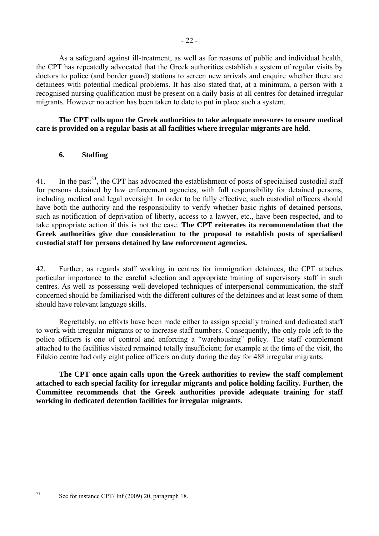doctors to police (and border guard) stations to screen new arrivals and enquire whether there are detainees with potential medical problems. It has also stated that, at a minimum, a person with a recognised nursing qualification must be present on a daily basis at all centres for detained irregular migrants. However no action has been taken to date to put in place such a system.

# **The CPT calls upon the Greek authorities to take adequate measures to ensure medical care is provided on a regular basis at all facilities where irregular migrants are held.**

# **6. Staffing**

41. In the past<sup>23</sup>, the CPT has advocated the establishment of posts of specialised custodial staff for persons detained by law enforcement agencies, with full responsibility for detained persons, including medical and legal oversight. In order to be fully effective, such custodial officers should have both the authority and the responsibility to verify whether basic rights of detained persons, such as notification of deprivation of liberty, access to a lawyer, etc., have been respected, and to take appropriate action if this is not the case. **The CPT reiterates its recommendation that the Greek authorities give due consideration to the proposal to establish posts of specialised custodial staff for persons detained by law enforcement agencies.**

42. Further, as regards staff working in centres for immigration detainees, the CPT attaches particular importance to the careful selection and appropriate training of supervisory staff in such centres. As well as possessing well-developed techniques of interpersonal communication, the staff concerned should be familiarised with the different cultures of the detainees and at least some of them should have relevant language skills.

Regrettably, no efforts have been made either to assign specially trained and dedicated staff to work with irregular migrants or to increase staff numbers. Consequently, the only role left to the police officers is one of control and enforcing a "warehousing" policy. The staff complement attached to the facilities visited remained totally insufficient; for example at the time of the visit, the Filakio centre had only eight police officers on duty during the day for 488 irregular migrants.

**The CPT once again calls upon the Greek authorities to review the staff complement attached to each special facility for irregular migrants and police holding facility. Further, the Committee recommends that the Greek authorities provide adequate training for staff working in dedicated detention facilities for irregular migrants.** 

 $23$ 

- 22 -

See for instance CPT/ Inf (2009) 20, paragraph 18.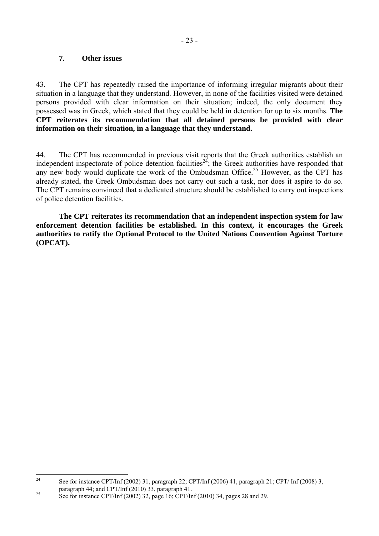# **7. Other issues**

43. The CPT has repeatedly raised the importance of informing irregular migrants about their situation in a language that they understand. However, in none of the facilities visited were detained persons provided with clear information on their situation; indeed, the only document they possessed was in Greek, which stated that they could be held in detention for up to six months. **The CPT reiterates its recommendation that all detained persons be provided with clear information on their situation, in a language that they understand.** 

44. The CPT has recommended in previous visit reports that the Greek authorities establish an independent inspectorate of police detention facilities<sup>24</sup>; the Greek authorities have responded that any new body would duplicate the work of the Ombudsman Office.<sup>25</sup> However, as the CPT has already stated, the Greek Ombudsman does not carry out such a task, nor does it aspire to do so. The CPT remains convinced that a dedicated structure should be established to carry out inspections of police detention facilities.

**The CPT reiterates its recommendation that an independent inspection system for law enforcement detention facilities be established. In this context, it encourages the Greek authorities to ratify the Optional Protocol to the United Nations Convention Against Torture (OPCAT).** 

 $24$ See for instance CPT/Inf (2002) 31, paragraph 22; CPT/Inf (2006) 41, paragraph 21; CPT/ Inf (2008) 3,

paragraph 44; and CPT/Inf (2010) 33, paragraph 41.<br>See for instance CPT/Inf (2002) 32, page 16; CPT/Inf (2010) 34, pages 28 and 29.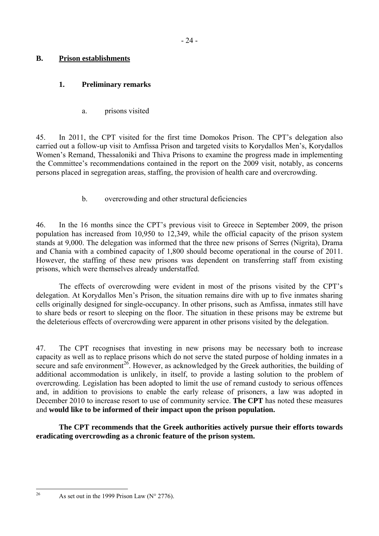# **B. Prison establishments**

# **1. Preliminary remarks**

a. prisons visited

45. In 2011, the CPT visited for the first time Domokos Prison. The CPT's delegation also carried out a follow-up visit to Amfissa Prison and targeted visits to Korydallos Men's, Korydallos Women's Remand, Thessaloniki and Thiva Prisons to examine the progress made in implementing the Committee's recommendations contained in the report on the 2009 visit, notably, as concerns persons placed in segregation areas, staffing, the provision of health care and overcrowding.

# b. overcrowding and other structural deficiencies

46. In the 16 months since the CPT's previous visit to Greece in September 2009, the prison population has increased from 10,950 to 12,349, while the official capacity of the prison system stands at 9,000. The delegation was informed that the three new prisons of Serres (Nigrita), Drama and Chania with a combined capacity of 1,800 should become operational in the course of 2011. However, the staffing of these new prisons was dependent on transferring staff from existing prisons, which were themselves already understaffed.

 The effects of overcrowding were evident in most of the prisons visited by the CPT's delegation. At Korydallos Men's Prison, the situation remains dire with up to five inmates sharing cells originally designed for single-occupancy. In other prisons, such as Amfissa, inmates still have to share beds or resort to sleeping on the floor. The situation in these prisons may be extreme but the deleterious effects of overcrowding were apparent in other prisons visited by the delegation.

47. The CPT recognises that investing in new prisons may be necessary both to increase capacity as well as to replace prisons which do not serve the stated purpose of holding inmates in a secure and safe environment<sup>26</sup>. However, as acknowledged by the Greek authorities, the building of additional accommodation is unlikely, in itself, to provide a lasting solution to the problem of overcrowding. Legislation has been adopted to limit the use of remand custody to serious offences and, in addition to provisions to enable the early release of prisoners, a law was adopted in December 2010 to increase resort to use of community service. **The CPT** has noted these measures and **would like to be informed of their impact upon the prison population.** 

 **The CPT recommends that the Greek authorities actively pursue their efforts towards eradicating overcrowding as a chronic feature of the prison system.** 

 $26$ 

As set out in the 1999 Prison Law ( $N^{\circ}$  2776).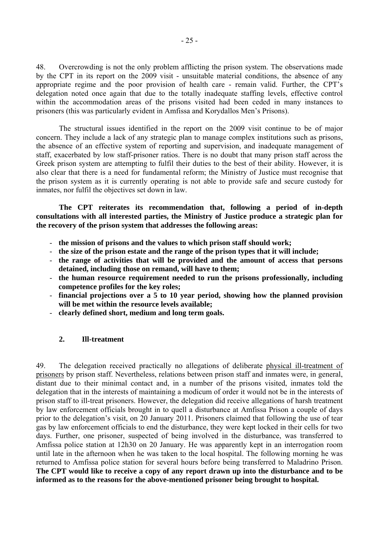48. Overcrowding is not the only problem afflicting the prison system. The observations made by the CPT in its report on the 2009 visit - unsuitable material conditions, the absence of any appropriate regime and the poor provision of health care - remain valid. Further, the CPT's delegation noted once again that due to the totally inadequate staffing levels, effective control within the accommodation areas of the prisons visited had been ceded in many instances to prisoners (this was particularly evident in Amfissa and Korydallos Men's Prisons).

 The structural issues identified in the report on the 2009 visit continue to be of major concern. They include a lack of any strategic plan to manage complex institutions such as prisons, the absence of an effective system of reporting and supervision, and inadequate management of staff, exacerbated by low staff-prisoner ratios. There is no doubt that many prison staff across the Greek prison system are attempting to fulfil their duties to the best of their ability. However, it is also clear that there is a need for fundamental reform; the Ministry of Justice must recognise that the prison system as it is currently operating is not able to provide safe and secure custody for inmates, nor fulfil the objectives set down in law.

 **The CPT reiterates its recommendation that, following a period of in-depth consultations with all interested parties, the Ministry of Justice produce a strategic plan for the recovery of the prison system that addresses the following areas:** 

- **the mission of prisons and the values to which prison staff should work;**
- **the size of the prison estate and the range of the prison types that it will include;**
- **the range of activities that will be provided and the amount of access that persons detained, including those on remand, will have to them;**
- **the human resource requirement needed to run the prisons professionally, including competence profiles for the key roles;**
- **financial projections over a 5 to 10 year period, showing how the planned provision will be met within the resource levels available;**
- **clearly defined short, medium and long term goals.**

## **2. Ill-treatment**

49. The delegation received practically no allegations of deliberate physical ill-treatment of prisoners by prison staff. Nevertheless, relations between prison staff and inmates were, in general, distant due to their minimal contact and, in a number of the prisons visited, inmates told the delegation that in the interests of maintaining a modicum of order it would not be in the interests of prison staff to ill-treat prisoners. However, the delegation did receive allegations of harsh treatment by law enforcement officials brought in to quell a disturbance at Amfissa Prison a couple of days prior to the delegation's visit, on 20 January 2011. Prisoners claimed that following the use of tear gas by law enforcement officials to end the disturbance, they were kept locked in their cells for two days. Further, one prisoner, suspected of being involved in the disturbance, was transferred to Amfissa police station at 12h30 on 20 January. He was apparently kept in an interrogation room until late in the afternoon when he was taken to the local hospital. The following morning he was returned to Amfissa police station for several hours before being transferred to Maladrino Prison. **The CPT would like to receive a copy of any report drawn up into the disturbance and to be informed as to the reasons for the above-mentioned prisoner being brought to hospital.**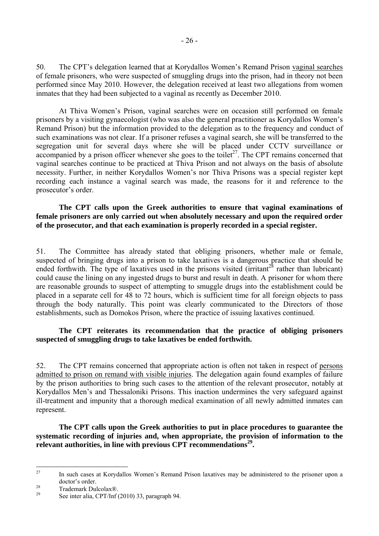50. The CPT's delegation learned that at Korydallos Women's Remand Prison vaginal searches of female prisoners, who were suspected of smuggling drugs into the prison, had in theory not been performed since May 2010. However, the delegation received at least two allegations from women inmates that they had been subjected to a vaginal as recently as December 2010.

At Thiva Women's Prison, vaginal searches were on occasion still performed on female prisoners by a visiting gynaecologist (who was also the general practitioner as Korydallos Women's Remand Prison) but the information provided to the delegation as to the frequency and conduct of such examinations was not clear. If a prisoner refuses a vaginal search, she will be transferred to the segregation unit for several days where she will be placed under CCTV surveillance or accompanied by a prison officer whenever she goes to the toilet<sup>27</sup>. The CPT remains concerned that vaginal searches continue to be practiced at Thiva Prison and not always on the basis of absolute necessity. Further, in neither Korydallos Women's nor Thiva Prisons was a special register kept recording each instance a vaginal search was made, the reasons for it and reference to the prosecutor's order.

**The CPT calls upon the Greek authorities to ensure that vaginal examinations of female prisoners are only carried out when absolutely necessary and upon the required order of the prosecutor, and that each examination is properly recorded in a special register.** 

51. The Committee has already stated that obliging prisoners, whether male or female, suspected of bringing drugs into a prison to take laxatives is a dangerous practice that should be ended forthwith. The type of laxatives used in the prisons visited ( $\text{irritant}^{28}$  rather than lubricant) could cause the lining on any ingested drugs to burst and result in death. A prisoner for whom there are reasonable grounds to suspect of attempting to smuggle drugs into the establishment could be placed in a separate cell for 48 to 72 hours, which is sufficient time for all foreign objects to pass through the body naturally. This point was clearly communicated to the Directors of those establishments, such as Domokos Prison, where the practice of issuing laxatives continued.

## **The CPT reiterates its recommendation that the practice of obliging prisoners suspected of smuggling drugs to take laxatives be ended forthwith.**

52. The CPT remains concerned that appropriate action is often not taken in respect of persons admitted to prison on remand with visible injuries. The delegation again found examples of failure by the prison authorities to bring such cases to the attention of the relevant prosecutor, notably at Korydallos Men's and Thessaloniki Prisons. This inaction undermines the very safeguard against ill-treatment and impunity that a thorough medical examination of all newly admitted inmates can represent.

**The CPT calls upon the Greek authorities to put in place procedures to guarantee the systematic recording of injuries and, when appropriate, the provision of information to the relevant authorities, in line with previous CPT recommendations29.** 

 $27$ In such cases at Korydallos Women's Remand Prison laxatives may be administered to the prisoner upon a

doctor's order.<br>
28 Trademark Dulcolax®.

See inter alia, CPT/Inf (2010) 33, paragraph 94.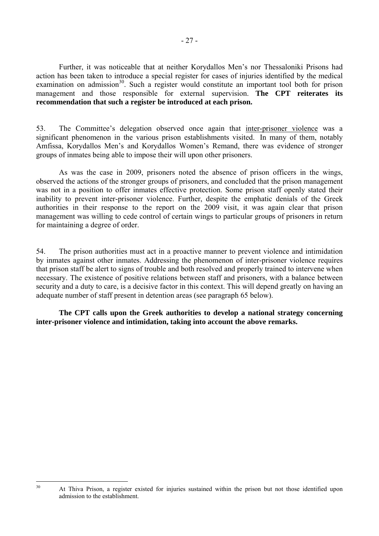Further, it was noticeable that at neither Korydallos Men's nor Thessaloniki Prisons had action has been taken to introduce a special register for cases of injuries identified by the medical examination on admission<sup>30</sup>. Such a register would constitute an important tool both for prison management and those responsible for external supervision. **The CPT reiterates its recommendation that such a register be introduced at each prison.** 

53. The Committee's delegation observed once again that inter-prisoner violence was a significant phenomenon in the various prison establishments visited. In many of them, notably Amfissa, Korydallos Men's and Korydallos Women's Remand, there was evidence of stronger groups of inmates being able to impose their will upon other prisoners.

As was the case in 2009, prisoners noted the absence of prison officers in the wings, observed the actions of the stronger groups of prisoners, and concluded that the prison management was not in a position to offer inmates effective protection. Some prison staff openly stated their inability to prevent inter-prisoner violence. Further, despite the emphatic denials of the Greek authorities in their response to the report on the 2009 visit, it was again clear that prison management was willing to cede control of certain wings to particular groups of prisoners in return for maintaining a degree of order.

54. The prison authorities must act in a proactive manner to prevent violence and intimidation by inmates against other inmates. Addressing the phenomenon of inter-prisoner violence requires that prison staff be alert to signs of trouble and both resolved and properly trained to intervene when necessary. The existence of positive relations between staff and prisoners, with a balance between security and a duty to care, is a decisive factor in this context. This will depend greatly on having an adequate number of staff present in detention areas (see paragraph 65 below).

 **The CPT calls upon the Greek authorities to develop a national strategy concerning inter-prisoner violence and intimidation, taking into account the above remarks.** 

 $30^{\circ}$ 

- 27 -

At Thiva Prison, a register existed for injuries sustained within the prison but not those identified upon admission to the establishment.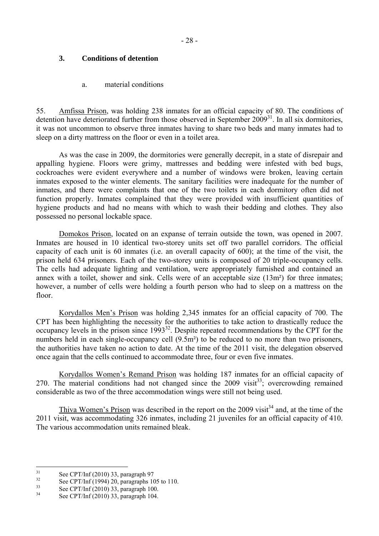# **3. Conditions of detention**

## a. material conditions

55. Amfissa Prison, was holding 238 inmates for an official capacity of 80. The conditions of detention have deteriorated further from those observed in September  $2009^{31}$ . In all six dormitories, it was not uncommon to observe three inmates having to share two beds and many inmates had to sleep on a dirty mattress on the floor or even in a toilet area.

 As was the case in 2009, the dormitories were generally decrepit, in a state of disrepair and appalling hygiene. Floors were grimy, mattresses and bedding were infested with bed bugs, cockroaches were evident everywhere and a number of windows were broken, leaving certain inmates exposed to the winter elements. The sanitary facilities were inadequate for the number of inmates, and there were complaints that one of the two toilets in each dormitory often did not function properly. Inmates complained that they were provided with insufficient quantities of hygiene products and had no means with which to wash their bedding and clothes. They also possessed no personal lockable space.

 Domokos Prison, located on an expanse of terrain outside the town, was opened in 2007. Inmates are housed in 10 identical two-storey units set off two parallel corridors. The official capacity of each unit is 60 inmates (i.e. an overall capacity of 600); at the time of the visit, the prison held 634 prisoners. Each of the two-storey units is composed of 20 triple-occupancy cells. The cells had adequate lighting and ventilation, were appropriately furnished and contained an annex with a toilet, shower and sink. Cells were of an acceptable size (13m²) for three inmates; however, a number of cells were holding a fourth person who had to sleep on a mattress on the floor.

 Korydallos Men's Prison was holding 2,345 inmates for an official capacity of 700. The CPT has been highlighting the necessity for the authorities to take action to drastically reduce the occupancy levels in the prison since 199332. Despite repeated recommendations by the CPT for the numbers held in each single-occupancy cell  $(9.5m<sup>2</sup>)$  to be reduced to no more than two prisoners, the authorities have taken no action to date. At the time of the 2011 visit, the delegation observed once again that the cells continued to accommodate three, four or even five inmates.

 Korydallos Women's Remand Prison was holding 187 inmates for an official capacity of 270. The material conditions had not changed since the 2009 visit<sup>33</sup>; overcrowding remained considerable as two of the three accommodation wings were still not being used.

Thiva Women's Prison was described in the report on the 2009 visit<sup>34</sup> and, at the time of the 2011 visit, was accommodating 326 inmates, including 21 juveniles for an official capacity of 410. The various accommodation units remained bleak.

 $31$  $\frac{31}{32}$  See CPT/Inf (2010) 33, paragraph 97

 $\frac{32}{33}$  See CPT/Inf (1994) 20, paragraphs 105 to 110.

 $\frac{33}{34}$  See CPT/Inf (2010) 33, paragraph 100.

See CPT/Inf (2010) 33, paragraph 104.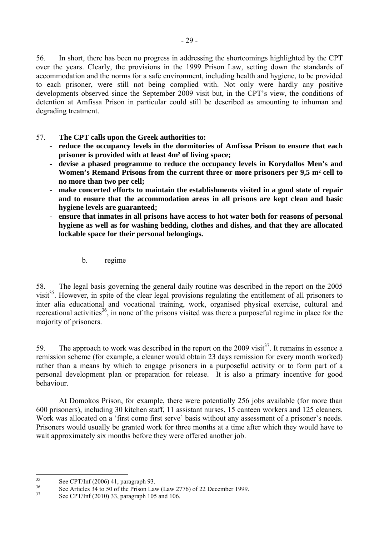56. In short, there has been no progress in addressing the shortcomings highlighted by the CPT over the years. Clearly, the provisions in the 1999 Prison Law, setting down the standards of accommodation and the norms for a safe environment, including health and hygiene, to be provided to each prisoner, were still not being complied with. Not only were hardly any positive developments observed since the September 2009 visit but, in the CPT's view, the conditions of detention at Amfissa Prison in particular could still be described as amounting to inhuman and degrading treatment.

# 57. **The CPT calls upon the Greek authorities to:**

- **reduce the occupancy levels in the dormitories of Amfissa Prison to ensure that each prisoner is provided with at least 4m² of living space;**
- **devise a phased programme to reduce the occupancy levels in Korydallos Men's and Women's Remand Prisons from the current three or more prisoners per 9,5 m² cell to no more than two per cell;**
- **make concerted efforts to maintain the establishments visited in a good state of repair and to ensure that the accommodation areas in all prisons are kept clean and basic hygiene levels are guaranteed;**
- **ensure that inmates in all prisons have access to hot water both for reasons of personal hygiene as well as for washing bedding, clothes and dishes, and that they are allocated lockable space for their personal belongings.** 
	- b. regime

58. The legal basis governing the general daily routine was described in the report on the 2005 visit<sup>35</sup>. However, in spite of the clear legal provisions regulating the entitlement of all prisoners to inter alia educational and vocational training, work, organised physical exercise, cultural and recreational activities<sup>36</sup>, in none of the prisons visited was there a purposeful regime in place for the majority of prisoners.

59. The approach to work was described in the report on the 2009 visit<sup>37</sup>. It remains in essence a remission scheme (for example, a cleaner would obtain 23 days remission for every month worked) rather than a means by which to engage prisoners in a purposeful activity or to form part of a personal development plan or preparation for release. It is also a primary incentive for good behaviour.

At Domokos Prison, for example, there were potentially 256 jobs available (for more than 600 prisoners), including 30 kitchen staff, 11 assistant nurses, 15 canteen workers and 125 cleaners. Work was allocated on a 'first come first serve' basis without any assessment of a prisoner's needs. Prisoners would usually be granted work for three months at a time after which they would have to wait approximately six months before they were offered another job.

 $35$  $\frac{35}{36}$  See CPT/Inf (2006) 41, paragraph 93.

 $\frac{36}{37}$  See Articles 34 to 50 of the Prison Law (Law 2776) of 22 December 1999.

See CPT/Inf (2010) 33, paragraph 105 and 106.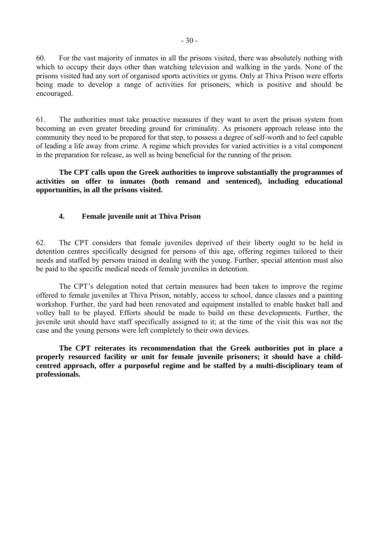60. For the vast majority of inmates in all the prisons visited, there was absolutely nothing with which to occupy their days other than watching television and walking in the yards. None of the prisons visited had any sort of organised sports activities or gyms. Only at Thiva Prison were efforts being made to develop a range of activities for prisoners, which is positive and should be encouraged.

61. The authorities must take proactive measures if they want to avert the prison system from becoming an even greater breeding ground for criminality. As prisoners approach release into the community they need to be prepared for that step, to possess a degree of self-worth and to feel capable of leading a life away from crime. A regime which provides for varied activities is a vital component in the preparation for release, as well as being beneficial for the running of the prison.

**The CPT calls upon the Greek authorities to improve substantially the programmes of activities on offer to inmates (both remand and sentenced), including educational opportunities, in all the prisons visited.** 

# **4. Female juvenile unit at Thiva Prison**

62. The CPT considers that female juveniles deprived of their liberty ought to be held in detention centres specifically designed for persons of this age, offering regimes tailored to their needs and staffed by persons trained in dealing with the young. Further, special attention must also be paid to the specific medical needs of female juveniles in detention.

 The CPT's delegation noted that certain measures had been taken to improve the regime offered to female juveniles at Thiva Prison, notably, access to school, dance classes and a painting workshop. Further, the yard had been renovated and equipment installed to enable basket ball and volley ball to be played. Efforts should be made to build on these developments. Further, the juvenile unit should have staff specifically assigned to it; at the time of the visit this was not the case and the young persons were left completely to their own devices.

**The CPT reiterates its recommendation that the Greek authorities put in place a properly resourced facility or unit for female juvenile prisoners; it should have a childcentred approach, offer a purposeful regime and be staffed by a multi-disciplinary team of professionals.**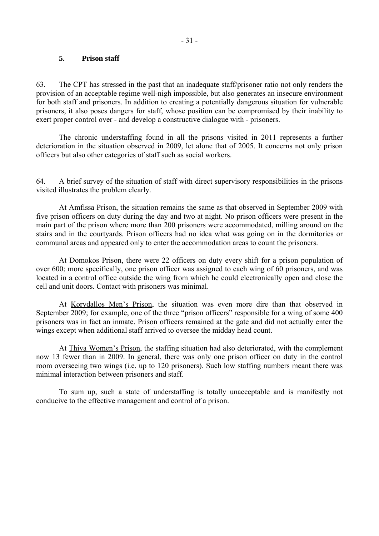#### **5. Prison staff**

63. The CPT has stressed in the past that an inadequate staff/prisoner ratio not only renders the provision of an acceptable regime well-nigh impossible, but also generates an insecure environment for both staff and prisoners. In addition to creating a potentially dangerous situation for vulnerable prisoners, it also poses dangers for staff, whose position can be compromised by their inability to exert proper control over - and develop a constructive dialogue with - prisoners.

 The chronic understaffing found in all the prisons visited in 2011 represents a further deterioration in the situation observed in 2009, let alone that of 2005. It concerns not only prison officers but also other categories of staff such as social workers.

64. A brief survey of the situation of staff with direct supervisory responsibilities in the prisons visited illustrates the problem clearly.

At Amfissa Prison, the situation remains the same as that observed in September 2009 with five prison officers on duty during the day and two at night. No prison officers were present in the main part of the prison where more than 200 prisoners were accommodated, milling around on the stairs and in the courtyards. Prison officers had no idea what was going on in the dormitories or communal areas and appeared only to enter the accommodation areas to count the prisoners.

 At Domokos Prison, there were 22 officers on duty every shift for a prison population of over 600; more specifically, one prison officer was assigned to each wing of 60 prisoners, and was located in a control office outside the wing from which he could electronically open and close the cell and unit doors. Contact with prisoners was minimal.

 At Korydallos Men's Prison, the situation was even more dire than that observed in September 2009; for example, one of the three "prison officers" responsible for a wing of some 400 prisoners was in fact an inmate. Prison officers remained at the gate and did not actually enter the wings except when additional staff arrived to oversee the midday head count.

At Thiva Women's Prison, the staffing situation had also deteriorated, with the complement now 13 fewer than in 2009. In general, there was only one prison officer on duty in the control room overseeing two wings (i.e. up to 120 prisoners). Such low staffing numbers meant there was minimal interaction between prisoners and staff.

To sum up, such a state of understaffing is totally unacceptable and is manifestly not conducive to the effective management and control of a prison.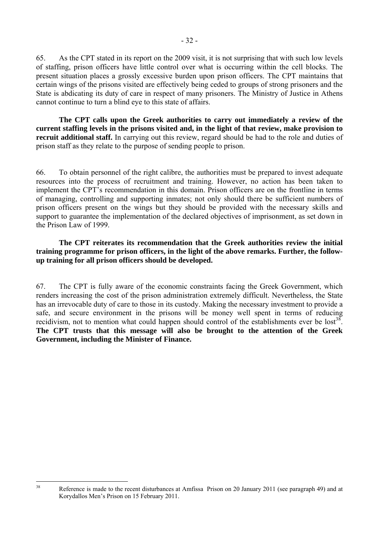65. As the CPT stated in its report on the 2009 visit, it is not surprising that with such low levels of staffing, prison officers have little control over what is occurring within the cell blocks. The present situation places a grossly excessive burden upon prison officers. The CPT maintains that certain wings of the prisons visited are effectively being ceded to groups of strong prisoners and the State is abdicating its duty of care in respect of many prisoners. The Ministry of Justice in Athens cannot continue to turn a blind eye to this state of affairs.

**The CPT calls upon the Greek authorities to carry out immediately a review of the current staffing levels in the prisons visited and, in the light of that review, make provision to recruit additional staff.** In carrying out this review, regard should be had to the role and duties of prison staff as they relate to the purpose of sending people to prison.

66. To obtain personnel of the right calibre, the authorities must be prepared to invest adequate resources into the process of recruitment and training. However, no action has been taken to implement the CPT's recommendation in this domain. Prison officers are on the frontline in terms of managing, controlling and supporting inmates; not only should there be sufficient numbers of prison officers present on the wings but they should be provided with the necessary skills and support to guarantee the implementation of the declared objectives of imprisonment, as set down in the Prison Law of 1999.

**The CPT reiterates its recommendation that the Greek authorities review the initial training programme for prison officers, in the light of the above remarks. Further, the followup training for all prison officers should be developed.** 

67. The CPT is fully aware of the economic constraints facing the Greek Government, which renders increasing the cost of the prison administration extremely difficult. Nevertheless, the State has an irrevocable duty of care to those in its custody. Making the necessary investment to provide a safe, and secure environment in the prisons will be money well spent in terms of reducing recidivism, not to mention what could happen should control of the establishments ever be  $\text{lost}^{38}$ . **The CPT trusts that this message will also be brought to the attention of the Greek Government, including the Minister of Finance.** 

 $38$ 

Reference is made to the recent disturbances at Amfissa Prison on 20 January 2011 (see paragraph 49) and at Korydallos Men's Prison on 15 February 2011.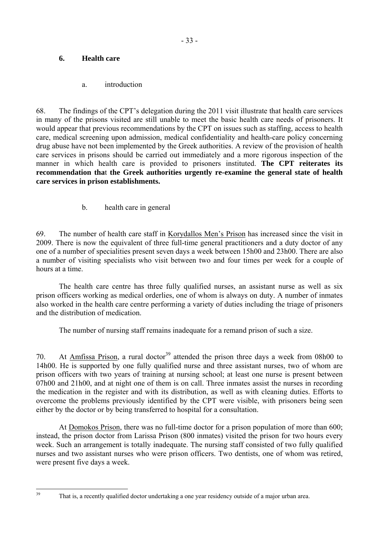# **6. Health care**

a. introduction

68. The findings of the CPT's delegation during the 2011 visit illustrate that health care services in many of the prisons visited are still unable to meet the basic health care needs of prisoners. It would appear that previous recommendations by the CPT on issues such as staffing, access to health care, medical screening upon admission, medical confidentiality and health-care policy concerning drug abuse have not been implemented by the Greek authorities. A review of the provision of health care services in prisons should be carried out immediately and a more rigorous inspection of the manner in which health care is provided to prisoners instituted. **The CPT reiterates its recommendation tha**t **the Greek authorities urgently re-examine the general state of health care services in prison establishments.** 

b. health care in general

69. The number of health care staff in Korydallos Men's Prison has increased since the visit in 2009. There is now the equivalent of three full-time general practitioners and a duty doctor of any one of a number of specialities present seven days a week between 15h00 and 23h00. There are also a number of visiting specialists who visit between two and four times per week for a couple of hours at a time.

 The health care centre has three fully qualified nurses, an assistant nurse as well as six prison officers working as medical orderlies, one of whom is always on duty. A number of inmates also worked in the health care centre performing a variety of duties including the triage of prisoners and the distribution of medication.

The number of nursing staff remains inadequate for a remand prison of such a size.

70. At Amfissa Prison, a rural doctor<sup>39</sup> attended the prison three days a week from 08h00 to 14h00. He is supported by one fully qualified nurse and three assistant nurses, two of whom are prison officers with two years of training at nursing school; at least one nurse is present between 07h00 and 21h00, and at night one of them is on call. Three inmates assist the nurses in recording the medication in the register and with its distribution, as well as with cleaning duties. Efforts to overcome the problems previously identified by the CPT were visible, with prisoners being seen either by the doctor or by being transferred to hospital for a consultation.

At Domokos Prison, there was no full-time doctor for a prison population of more than 600; instead, the prison doctor from Larissa Prison (800 inmates) visited the prison for two hours every week. Such an arrangement is totally inadequate. The nursing staff consisted of two fully qualified nurses and two assistant nurses who were prison officers. Two dentists, one of whom was retired, were present five days a week.

 $39$ 

That is, a recently qualified doctor undertaking a one year residency outside of a major urban area.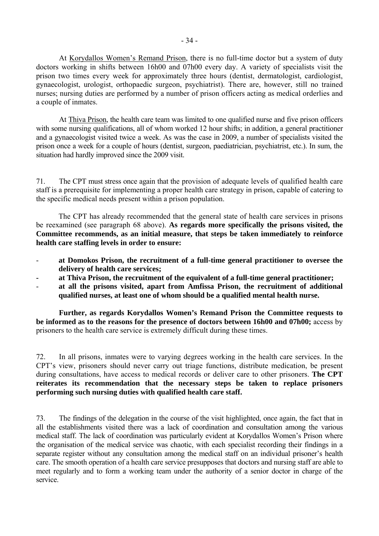At Korydallos Women's Remand Prison, there is no full-time doctor but a system of duty doctors working in shifts between 16h00 and 07h00 every day. A variety of specialists visit the prison two times every week for approximately three hours (dentist, dermatologist, cardiologist, gynaecologist, urologist, orthopaedic surgeon, psychiatrist). There are, however, still no trained nurses; nursing duties are performed by a number of prison officers acting as medical orderlies and a couple of inmates.

 At Thiva Prison, the health care team was limited to one qualified nurse and five prison officers with some nursing qualifications, all of whom worked 12 hour shifts; in addition, a general practitioner and a gynaecologist visited twice a week. As was the case in 2009, a number of specialists visited the prison once a week for a couple of hours (dentist, surgeon, paediatrician, psychiatrist, etc.). In sum, the situation had hardly improved since the 2009 visit.

71. The CPT must stress once again that the provision of adequate levels of qualified health care staff is a prerequisite for implementing a proper health care strategy in prison, capable of catering to the specific medical needs present within a prison population.

The CPT has already recommended that the general state of health care services in prisons be reexamined (see paragraph 68 above). **As regards more specifically the prisons visited, the Committee recommends, as an initial measure, that steps be taken immediately to reinforce health care staffing levels in order to ensure:**

- **at Domokos Prison, the recruitment of a full-time general practitioner to oversee the delivery of health care services;**
- **at Thiva Prison, the recruitment of the equivalent of a full-time general practitioner;**
- **at all the prisons visited, apart from Amfissa Prison, the recruitment of additional qualified nurses, at least one of whom should be a qualified mental health nurse.**

 **Further, as regards Korydallos Women's Remand Prison the Committee requests to be informed as to the reasons for the presence of doctors between 16h00 and 07h00;** access by prisoners to the health care service is extremely difficult during these times.

72. In all prisons, inmates were to varying degrees working in the health care services. In the CPT's view, prisoners should never carry out triage functions, distribute medication, be present during consultations, have access to medical records or deliver care to other prisoners. **The CPT reiterates its recommendation that the necessary steps be taken to replace prisoners performing such nursing duties with qualified health care staff.**

73. The findings of the delegation in the course of the visit highlighted, once again, the fact that in all the establishments visited there was a lack of coordination and consultation among the various medical staff. The lack of coordination was particularly evident at Korydallos Women's Prison where the organisation of the medical service was chaotic, with each specialist recording their findings in a separate register without any consultation among the medical staff on an individual prisoner's health care. The smooth operation of a health care service presupposes that doctors and nursing staff are able to meet regularly and to form a working team under the authority of a senior doctor in charge of the service.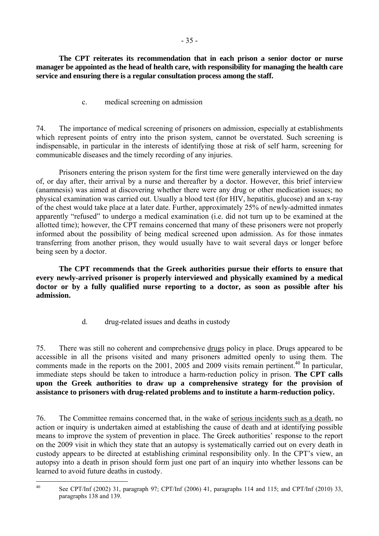**The CPT reiterates its recommendation that in each prison a senior doctor or nurse manager be appointed as the head of health care, with responsibility for managing the health care service and ensuring there is a regular consultation process among the staff.** 

c. medical screening on admission

74. The importance of medical screening of prisoners on admission, especially at establishments which represent points of entry into the prison system, cannot be overstated. Such screening is indispensable, in particular in the interests of identifying those at risk of self harm, screening for communicable diseases and the timely recording of any injuries.

 Prisoners entering the prison system for the first time were generally interviewed on the day of, or day after, their arrival by a nurse and thereafter by a doctor. However, this brief interview (anamnesis) was aimed at discovering whether there were any drug or other medication issues; no physical examination was carried out. Usually a blood test (for HIV, hepatitis, glucose) and an x-ray of the chest would take place at a later date. Further, approximately 25% of newly-admitted inmates apparently "refused" to undergo a medical examination (i.e. did not turn up to be examined at the allotted time); however, the CPT remains concerned that many of these prisoners were not properly informed about the possibility of being medical screened upon admission. As for those inmates transferring from another prison, they would usually have to wait several days or longer before being seen by a doctor.

**The CPT recommends that the Greek authorities pursue their efforts to ensure that every newly-arrived prisoner is properly interviewed and physically examined by a medical doctor or by a fully qualified nurse reporting to a doctor, as soon as possible after his admission.** 

d. drug-related issues and deaths in custody

75. There was still no coherent and comprehensive drugs policy in place. Drugs appeared to be accessible in all the prisons visited and many prisoners admitted openly to using them. The comments made in the reports on the  $2001$ ,  $2005$  and  $2009$  visits remain pertinent.<sup>40</sup> In particular, immediate steps should be taken to introduce a harm-reduction policy in prison. **The CPT calls upon the Greek authorities to draw up a comprehensive strategy for the provision of assistance to prisoners with drug-related problems and to institute a harm-reduction policy.**

76. The Committee remains concerned that, in the wake of serious incidents such as a death, no action or inquiry is undertaken aimed at establishing the cause of death and at identifying possible means to improve the system of prevention in place. The Greek authorities' response to the report on the 2009 visit in which they state that an autopsy is systematically carried out on every death in custody appears to be directed at establishing criminal responsibility only. In the CPT's view, an autopsy into a death in prison should form just one part of an inquiry into whether lessons can be learned to avoid future deaths in custody.

 $40$ 

See CPT/Inf (2002) 31, paragraph 97; CPT/Inf (2006) 41, paragraphs 114 and 115; and CPT/Inf (2010) 33, paragraphs 138 and 139.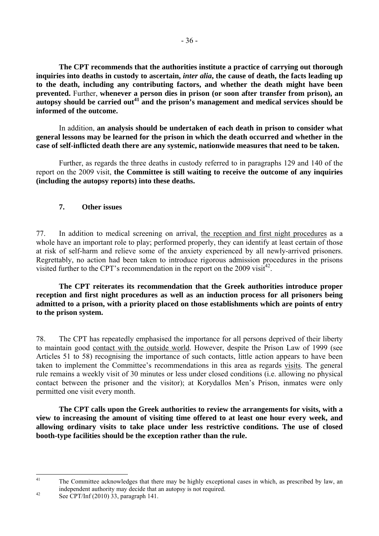**The CPT recommends that the authorities institute a practice of carrying out thorough inquiries into deaths in custody to ascertain,** *inter alia***, the cause of death, the facts leading up to the death, including any contributing factors, and whether the death might have been prevented.** Further, **whenever a person dies in prison (or soon after transfer from prison), an autopsy should be carried out41 and the prison's management and medical services should be informed of the outcome.** 

In addition, **an analysis should be undertaken of each death in prison to consider what general lessons may be learned for the prison in which the death occurred and whether in the case of self-inflicted death there are any systemic, nationwide measures that need to be taken.**

 Further, as regards the three deaths in custody referred to in paragraphs 129 and 140 of the report on the 2009 visit, **the Committee is still waiting to receive the outcome of any inquiries (including the autopsy reports) into these deaths.** 

# **7. Other issues**

77. In addition to medical screening on arrival, the reception and first night procedures as a whole have an important role to play; performed properly, they can identify at least certain of those at risk of self-harm and relieve some of the anxiety experienced by all newly-arrived prisoners. Regrettably, no action had been taken to introduce rigorous admission procedures in the prisons visited further to the CPT's recommendation in the report on the 2009 visit<sup>42</sup>.

**The CPT reiterates its recommendation that the Greek authorities introduce proper reception and first night procedures as well as an induction process for all prisoners being admitted to a prison, with a priority placed on those establishments which are points of entry to the prison system.** 

78. The CPT has repeatedly emphasised the importance for all persons deprived of their liberty to maintain good contact with the outside world. However, despite the Prison Law of 1999 (see Articles 51 to 58) recognising the importance of such contacts, little action appears to have been taken to implement the Committee's recommendations in this area as regards visits. The general rule remains a weekly visit of 30 minutes or less under closed conditions (i.e. allowing no physical contact between the prisoner and the visitor); at Korydallos Men's Prison, inmates were only permitted one visit every month.

 **The CPT calls upon the Greek authorities to review the arrangements for visits, with a view to increasing the amount of visiting time offered to at least one hour every week, and allowing ordinary visits to take place under less restrictive conditions. The use of closed booth-type facilities should be the exception rather than the rule.** 

 $41$ 

The Committee acknowledges that there may be highly exceptional cases in which, as prescribed by law, an independent authority may decide that an autopsy is not required.<br>See CPT/Inf (2010) 33, paragraph 141.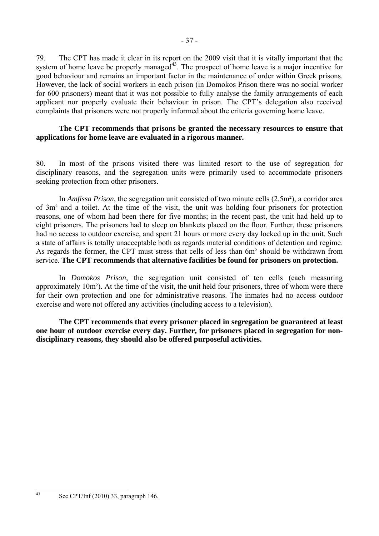79. The CPT has made it clear in its report on the 2009 visit that it is vitally important that the system of home leave be properly managed<sup>43</sup>. The prospect of home leave is a major incentive for good behaviour and remains an important factor in the maintenance of order within Greek prisons. However, the lack of social workers in each prison (in Domokos Prison there was no social worker for 600 prisoners) meant that it was not possible to fully analyse the family arrangements of each applicant nor properly evaluate their behaviour in prison. The CPT's delegation also received complaints that prisoners were not properly informed about the criteria governing home leave.

## **The CPT recommends that prisons be granted the necessary resources to ensure that applications for home leave are evaluated in a rigorous manner.**

80. In most of the prisons visited there was limited resort to the use of segregation for disciplinary reasons, and the segregation units were primarily used to accommodate prisoners seeking protection from other prisoners.

 In *Amfissa Prison*, the segregation unit consisted of two minute cells (2.5m²), a corridor area of 3m² and a toilet. At the time of the visit, the unit was holding four prisoners for protection reasons, one of whom had been there for five months; in the recent past, the unit had held up to eight prisoners. The prisoners had to sleep on blankets placed on the floor. Further, these prisoners had no access to outdoor exercise, and spent 21 hours or more every day locked up in the unit. Such a state of affairs is totally unacceptable both as regards material conditions of detention and regime. As regards the former, the CPT must stress that cells of less than 6m² should be withdrawn from service. **The CPT recommends that alternative facilities be found for prisoners on protection.** 

 In *Domokos Prison*, the segregation unit consisted of ten cells (each measuring approximately 10m²). At the time of the visit, the unit held four prisoners, three of whom were there for their own protection and one for administrative reasons. The inmates had no access outdoor exercise and were not offered any activities (including access to a television).

**The CPT recommends that every prisoner placed in segregation be guaranteed at least one hour of outdoor exercise every day. Further, for prisoners placed in segregation for nondisciplinary reasons, they should also be offered purposeful activities.** 

 $\overline{43}$ See CPT/Inf (2010) 33, paragraph 146.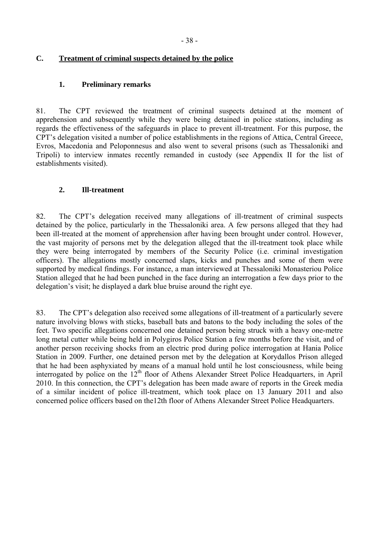# **C. Treatment of criminal suspects detained by the police**

## **1. Preliminary remarks**

81. The CPT reviewed the treatment of criminal suspects detained at the moment of apprehension and subsequently while they were being detained in police stations, including as regards the effectiveness of the safeguards in place to prevent ill-treatment. For this purpose, the CPT's delegation visited a number of police establishments in the regions of Attica, Central Greece, Evros, Macedonia and Peloponnesus and also went to several prisons (such as Thessaloniki and Tripoli) to interview inmates recently remanded in custody (see Appendix II for the list of establishments visited).

# **2. Ill-treatment**

82. The CPT's delegation received many allegations of ill-treatment of criminal suspects detained by the police, particularly in the Thessaloniki area. A few persons alleged that they had been ill-treated at the moment of apprehension after having been brought under control. However, the vast majority of persons met by the delegation alleged that the ill-treatment took place while they were being interrogated by members of the Security Police (i.e. criminal investigation officers). The allegations mostly concerned slaps, kicks and punches and some of them were supported by medical findings. For instance, a man interviewed at Thessaloniki Monasteriou Police Station alleged that he had been punched in the face during an interrogation a few days prior to the delegation's visit; he displayed a dark blue bruise around the right eye.

83. The CPT's delegation also received some allegations of ill-treatment of a particularly severe nature involving blows with sticks, baseball bats and batons to the body including the soles of the feet. Two specific allegations concerned one detained person being struck with a heavy one-metre long metal cutter while being held in Polygiros Police Station a few months before the visit, and of another person receiving shocks from an electric prod during police interrogation at Hania Police Station in 2009. Further, one detained person met by the delegation at Korydallos Prison alleged that he had been asphyxiated by means of a manual hold until he lost consciousness, while being interrogated by police on the 12<sup>th</sup> floor of Athens Alexander Street Police Headquarters, in April 2010. In this connection, the CPT's delegation has been made aware of reports in the Greek media of a similar incident of police ill-treatment, which took place on 13 January 2011 and also concerned police officers based on the12th floor of Athens Alexander Street Police Headquarters.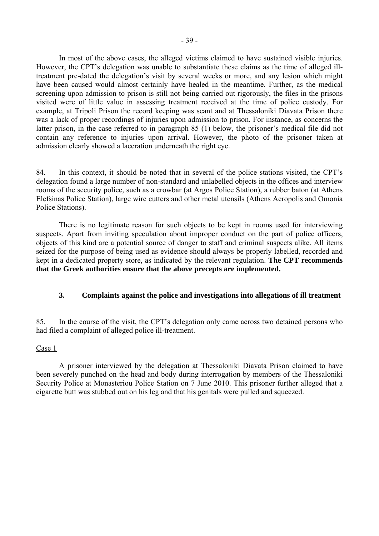In most of the above cases, the alleged victims claimed to have sustained visible injuries. However, the CPT's delegation was unable to substantiate these claims as the time of alleged illtreatment pre-dated the delegation's visit by several weeks or more, and any lesion which might have been caused would almost certainly have healed in the meantime. Further, as the medical screening upon admission to prison is still not being carried out rigorously, the files in the prisons visited were of little value in assessing treatment received at the time of police custody. For example, at Tripoli Prison the record keeping was scant and at Thessaloniki Diavata Prison there was a lack of proper recordings of injuries upon admission to prison. For instance, as concerns the latter prison, in the case referred to in paragraph 85 (1) below, the prisoner's medical file did not contain any reference to injuries upon arrival. However, the photo of the prisoner taken at admission clearly showed a laceration underneath the right eye.

84. In this context, it should be noted that in several of the police stations visited, the CPT's delegation found a large number of non-standard and unlabelled objects in the offices and interview rooms of the security police, such as a crowbar (at Argos Police Station), a rubber baton (at Athens Elefsinas Police Station), large wire cutters and other metal utensils (Athens Acropolis and Omonia Police Stations).

 There is no legitimate reason for such objects to be kept in rooms used for interviewing suspects. Apart from inviting speculation about improper conduct on the part of police officers, objects of this kind are a potential source of danger to staff and criminal suspects alike. All items seized for the purpose of being used as evidence should always be properly labelled, recorded and kept in a dedicated property store, as indicated by the relevant regulation. **The CPT recommends that the Greek authorities ensure that the above precepts are implemented.** 

# **3. Complaints against the police and investigations into allegations of ill treatment**

85. In the course of the visit, the CPT's delegation only came across two detained persons who had filed a complaint of alleged police ill-treatment.

## Case 1

A prisoner interviewed by the delegation at Thessaloniki Diavata Prison claimed to have been severely punched on the head and body during interrogation by members of the Thessaloniki Security Police at Monasteriou Police Station on 7 June 2010. This prisoner further alleged that a cigarette butt was stubbed out on his leg and that his genitals were pulled and squeezed.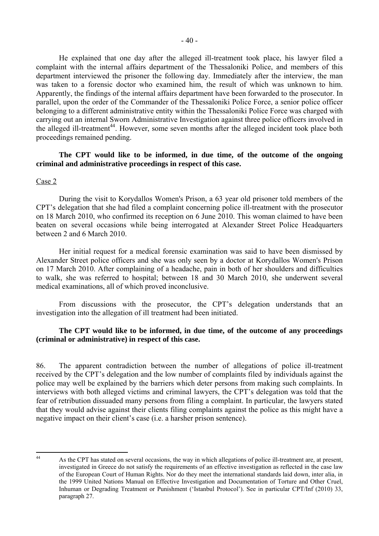He explained that one day after the alleged ill-treatment took place, his lawyer filed a complaint with the internal affairs department of the Thessaloniki Police, and members of this department interviewed the prisoner the following day. Immediately after the interview, the man was taken to a forensic doctor who examined him, the result of which was unknown to him. Apparently, the findings of the internal affairs department have been forwarded to the prosecutor. In parallel, upon the order of the Commander of the Thessaloniki Police Force, a senior police officer belonging to a different administrative entity within the Thessaloniki Police Force was charged with carrying out an internal Sworn Administrative Investigation against three police officers involved in the alleged ill-treatment<sup>44</sup>. However, some seven months after the alleged incident took place both proceedings remained pending.

## **The CPT would like to be informed, in due time, of the outcome of the ongoing criminal and administrative proceedings in respect of this case.**

#### Case 2

During the visit to Korydallos Women's Prison, a 63 year old prisoner told members of the CPT's delegation that she had filed a complaint concerning police ill-treatment with the prosecutor on 18 March 2010, who confirmed its reception on 6 June 2010. This woman claimed to have been beaten on several occasions while being interrogated at Alexander Street Police Headquarters between 2 and 6 March 2010.

Her initial request for a medical forensic examination was said to have been dismissed by Alexander Street police officers and she was only seen by a doctor at Korydallos Women's Prison on 17 March 2010. After complaining of a headache, pain in both of her shoulders and difficulties to walk, she was referred to hospital; between 18 and 30 March 2010, she underwent several medical examinations, all of which proved inconclusive.

From discussions with the prosecutor, the CPT's delegation understands that an investigation into the allegation of ill treatment had been initiated.

## **The CPT would like to be informed, in due time, of the outcome of any proceedings (criminal or administrative) in respect of this case.**

86. The apparent contradiction between the number of allegations of police ill-treatment received by the CPT's delegation and the low number of complaints filed by individuals against the police may well be explained by the barriers which deter persons from making such complaints. In interviews with both alleged victims and criminal lawyers, the CPT's delegation was told that the fear of retribution dissuaded many persons from filing a complaint. In particular, the lawyers stated that they would advise against their clients filing complaints against the police as this might have a negative impact on their client's case (i.e. a harsher prison sentence).

 $\overline{A}$ As the CPT has stated on several occasions, the way in which allegations of police ill-treatment are, at present, investigated in Greece do not satisfy the requirements of an effective investigation as reflected in the case law of the European Court of Human Rights. Nor do they meet the international standards laid down, inter alia, in the 1999 United Nations Manual on Effective Investigation and Documentation of Torture and Other Cruel, Inhuman or Degrading Treatment or Punishment ('Istanbul Protocol'). See in particular CPT/Inf (2010) 33, paragraph 27.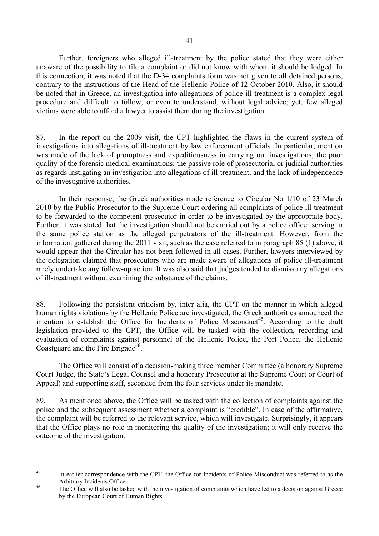Further, foreigners who alleged ill-treatment by the police stated that they were either unaware of the possibility to file a complaint or did not know with whom it should be lodged. In this connection, it was noted that the D-34 complaints form was not given to all detained persons, contrary to the instructions of the Head of the Hellenic Police of 12 October 2010. Also, it should be noted that in Greece, an investigation into allegations of police ill-treatment is a complex legal procedure and difficult to follow, or even to understand, without legal advice; yet, few alleged victims were able to afford a lawyer to assist them during the investigation.

87. In the report on the 2009 visit, the CPT highlighted the flaws in the current system of investigations into allegations of ill-treatment by law enforcement officials. In particular, mention was made of the lack of promptness and expeditiousness in carrying out investigations; the poor quality of the forensic medical examinations; the passive role of prosecutorial or judicial authorities as regards instigating an investigation into allegations of ill-treatment; and the lack of independence of the investigative authorities.

 In their response, the Greek authorities made reference to Circular No 1/10 of 23 March 2010 by the Public Prosecutor to the Supreme Court ordering all complaints of police ill-treatment to be forwarded to the competent prosecutor in order to be investigated by the appropriate body. Further, it was stated that the investigation should not be carried out by a police officer serving in the same police station as the alleged perpetrators of the ill-treatment. However, from the information gathered during the 2011 visit, such as the case referred to in paragraph 85 (1) above, it would appear that the Circular has not been followed in all cases. Further, lawyers interviewed by the delegation claimed that prosecutors who are made aware of allegations of police ill-treatment rarely undertake any follow-up action. It was also said that judges tended to dismiss any allegations of ill-treatment without examining the substance of the claims.

88. Following the persistent criticism by, inter alia, the CPT on the manner in which alleged human rights violations by the Hellenic Police are investigated, the Greek authorities announced the intention to establish the Office for Incidents of Police Misconduct<sup>45</sup>. According to the draft legislation provided to the CPT, the Office will be tasked with the collection, recording and evaluation of complaints against personnel of the Hellenic Police, the Port Police, the Hellenic Coastguard and the Fire Brigade<sup>46</sup>.

 The Office will consist of a decision-making three member Committee (a honorary Supreme Court Judge, the State's Legal Counsel and a honorary Prosecutor at the Supreme Court or Court of Appeal) and supporting staff, seconded from the four services under its mandate.

89. As mentioned above, the Office will be tasked with the collection of complaints against the police and the subsequent assessment whether a complaint is "credible". In case of the affirmative, the complaint will be referred to the relevant service, which will investigate. Surprisingly, it appears that the Office plays no role in monitoring the quality of the investigation; it will only receive the outcome of the investigation.

 $\overline{45}$ In earlier correspondence with the CPT, the Office for Incidents of Police Misconduct was referred to as the Arbitrary Incidents Office.<br>The Office will also be tasked with the investigation of complaints which have led to a decision against Greece

by the European Court of Human Rights.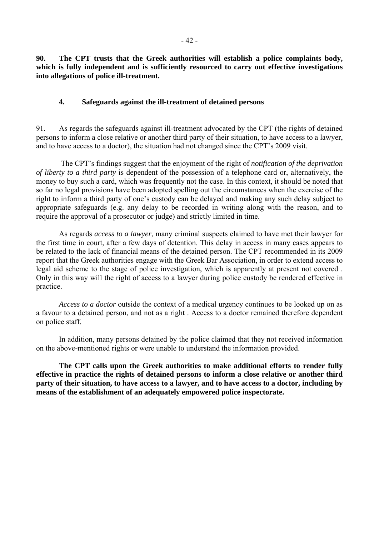**90. The CPT trusts that the Greek authorities will establish a police complaints body, which is fully independent and is sufficiently resourced to carry out effective investigations into allegations of police ill-treatment.** 

## **4. Safeguards against the ill-treatment of detained persons**

91. As regards the safeguards against ill-treatment advocated by the CPT (the rights of detained persons to inform a close relative or another third party of their situation, to have access to a lawyer, and to have access to a doctor), the situation had not changed since the CPT's 2009 visit.

 The CPT's findings suggest that the enjoyment of the right of *notification of the deprivation of liberty to a third party* is dependent of the possession of a telephone card or, alternatively, the money to buy such a card, which was frequently not the case. In this context, it should be noted that so far no legal provisions have been adopted spelling out the circumstances when the exercise of the right to inform a third party of one's custody can be delayed and making any such delay subject to appropriate safeguards (e.g. any delay to be recorded in writing along with the reason, and to require the approval of a prosecutor or judge) and strictly limited in time.

 As regards *access to a lawyer*, many criminal suspects claimed to have met their lawyer for the first time in court, after a few days of detention. This delay in access in many cases appears to be related to the lack of financial means of the detained person. The CPT recommended in its 2009 report that the Greek authorities engage with the Greek Bar Association, in order to extend access to legal aid scheme to the stage of police investigation, which is apparently at present not covered . Only in this way will the right of access to a lawyer during police custody be rendered effective in practice.

*Access to a doctor* outside the context of a medical urgency continues to be looked up on as a favour to a detained person, and not as a right . Access to a doctor remained therefore dependent on police staff.

 In addition, many persons detained by the police claimed that they not received information on the above-mentioned rights or were unable to understand the information provided.

**The CPT calls upon the Greek authorities to make additional efforts to render fully effective in practice the rights of detained persons to inform a close relative or another third party of their situation, to have access to a lawyer, and to have access to a doctor, including by means of the establishment of an adequately empowered police inspectorate.**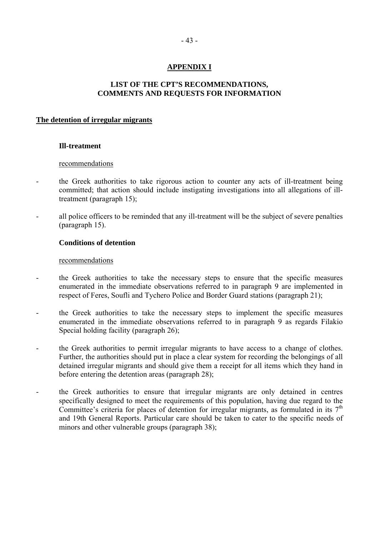# **APPENDIX I**

## **LIST OF THE CPT'S RECOMMENDATIONS, COMMENTS AND REQUESTS FOR INFORMATION**

#### **The detention of irregular migrants**

## **Ill-treatment**

#### recommendations

- the Greek authorities to take rigorous action to counter any acts of ill-treatment being committed; that action should include instigating investigations into all allegations of illtreatment (paragraph 15);
- all police officers to be reminded that any ill-treatment will be the subject of severe penalties (paragraph 15).

## **Conditions of detention**

- the Greek authorities to take the necessary steps to ensure that the specific measures enumerated in the immediate observations referred to in paragraph 9 are implemented in respect of Feres, Soufli and Tychero Police and Border Guard stations (paragraph 21);
- the Greek authorities to take the necessary steps to implement the specific measures enumerated in the immediate observations referred to in paragraph 9 as regards Filakio Special holding facility (paragraph 26);
- the Greek authorities to permit irregular migrants to have access to a change of clothes. Further, the authorities should put in place a clear system for recording the belongings of all detained irregular migrants and should give them a receipt for all items which they hand in before entering the detention areas (paragraph 28);
- the Greek authorities to ensure that irregular migrants are only detained in centres specifically designed to meet the requirements of this population, having due regard to the Committee's criteria for places of detention for irregular migrants, as formulated in its  $7<sup>th</sup>$ and 19th General Reports. Particular care should be taken to cater to the specific needs of minors and other vulnerable groups (paragraph 38);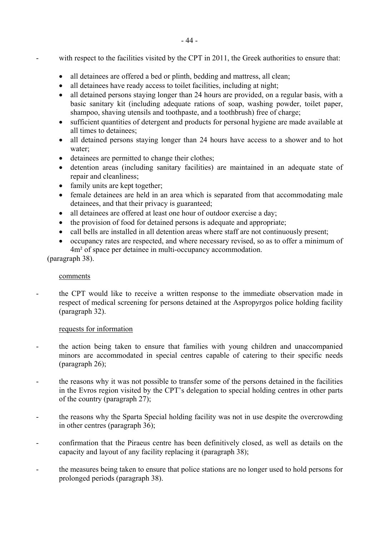- with respect to the facilities visited by the CPT in 2011, the Greek authorities to ensure that:
	- all detainees are offered a bed or plinth, bedding and mattress, all clean;
	- all detainees have ready access to toilet facilities, including at night;
	- all detained persons staving longer than 24 hours are provided, on a regular basis, with a basic sanitary kit (including adequate rations of soap, washing powder, toilet paper, shampoo, shaving utensils and toothpaste, and a toothbrush) free of charge;
	- sufficient quantities of detergent and products for personal hygiene are made available at all times to detainees;
	- all detained persons staying longer than 24 hours have access to a shower and to hot water;
	- detainees are permitted to change their clothes;
	- detention areas (including sanitary facilities) are maintained in an adequate state of repair and cleanliness;
	- family units are kept together;
	- female detainees are held in an area which is separated from that accommodating male detainees, and that their privacy is guaranteed;
	- all detainees are offered at least one hour of outdoor exercise a day;
	- the provision of food for detained persons is adequate and appropriate;
	- call bells are installed in all detention areas where staff are not continuously present;
	- occupancy rates are respected, and where necessary revised, so as to offer a minimum of 4m² of space per detainee in multi-occupancy accommodation.

(paragraph 38).

## comments

- the CPT would like to receive a written response to the immediate observation made in respect of medical screening for persons detained at the Aspropyrgos police holding facility (paragraph 32).

# requests for information

- the action being taken to ensure that families with young children and unaccompanied minors are accommodated in special centres capable of catering to their specific needs (paragraph 26);
- the reasons why it was not possible to transfer some of the persons detained in the facilities in the Evros region visited by the CPT's delegation to special holding centres in other parts of the country (paragraph 27);
- the reasons why the Sparta Special holding facility was not in use despite the overcrowding in other centres (paragraph 36);
- confirmation that the Piraeus centre has been definitively closed, as well as details on the capacity and layout of any facility replacing it (paragraph 38);
- the measures being taken to ensure that police stations are no longer used to hold persons for prolonged periods (paragraph 38).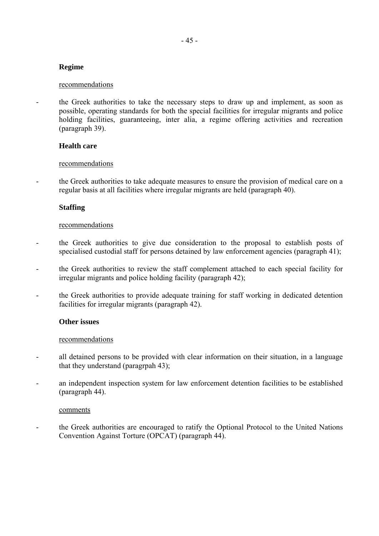# **Regime**

#### recommendations

the Greek authorities to take the necessary steps to draw up and implement, as soon as possible, operating standards for both the special facilities for irregular migrants and police holding facilities, guaranteeing, inter alia, a regime offering activities and recreation (paragraph 39).

## **Health care**

## recommendations

- the Greek authorities to take adequate measures to ensure the provision of medical care on a regular basis at all facilities where irregular migrants are held (paragraph 40).

## **Staffing**

#### recommendations

- the Greek authorities to give due consideration to the proposal to establish posts of specialised custodial staff for persons detained by law enforcement agencies (paragraph 41);
- the Greek authorities to review the staff complement attached to each special facility for irregular migrants and police holding facility (paragraph 42);
- the Greek authorities to provide adequate training for staff working in dedicated detention facilities for irregular migrants (paragraph 42).

## **Other issues**

## recommendations

- all detained persons to be provided with clear information on their situation, in a language that they understand (paragrpah 43);
- an independent inspection system for law enforcement detention facilities to be established (paragraph 44).

#### comments

- the Greek authorities are encouraged to ratify the Optional Protocol to the United Nations Convention Against Torture (OPCAT) (paragraph 44).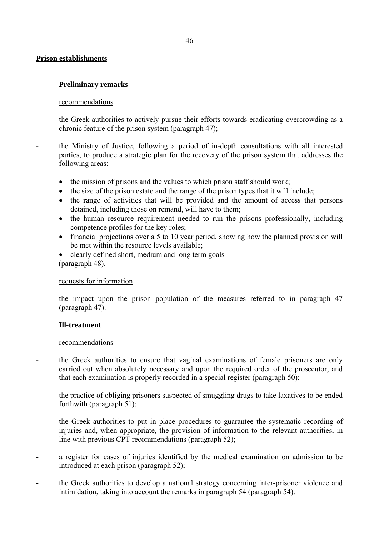## **Prison establishments**

## **Preliminary remarks**

## recommendations

- the Greek authorities to actively pursue their efforts towards eradicating overcrowding as a chronic feature of the prison system (paragraph 47);
- the Ministry of Justice, following a period of in-depth consultations with all interested parties, to produce a strategic plan for the recovery of the prison system that addresses the following areas:
	- the mission of prisons and the values to which prison staff should work;
	- the size of the prison estate and the range of the prison types that it will include;
	- the range of activities that will be provided and the amount of access that persons detained, including those on remand, will have to them;
	- the human resource requirement needed to run the prisons professionally, including competence profiles for the key roles;
	- financial projections over a 5 to 10 year period, showing how the planned provision will be met within the resource levels available;
	- clearly defined short, medium and long term goals (paragraph 48).

## requests for information

- the impact upon the prison population of the measures referred to in paragraph 47 (paragraph 47).

## **Ill-treatment**

- the Greek authorities to ensure that vaginal examinations of female prisoners are only carried out when absolutely necessary and upon the required order of the prosecutor, and that each examination is properly recorded in a special register (paragraph 50);
- the practice of obliging prisoners suspected of smuggling drugs to take laxatives to be ended forthwith (paragraph 51);
- the Greek authorities to put in place procedures to guarantee the systematic recording of injuries and, when appropriate, the provision of information to the relevant authorities, in line with previous CPT recommendations (paragraph 52);
- a register for cases of injuries identified by the medical examination on admission to be introduced at each prison (paragraph 52);
- the Greek authorities to develop a national strategy concerning inter-prisoner violence and intimidation, taking into account the remarks in paragraph 54 (paragraph 54).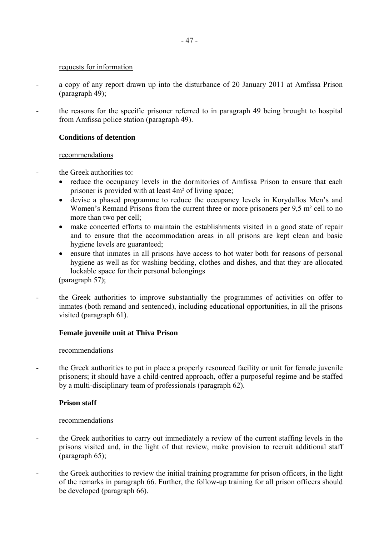#### requests for information

- a copy of any report drawn up into the disturbance of 20 January 2011 at Amfissa Prison (paragraph 49);
- the reasons for the specific prisoner referred to in paragraph 49 being brought to hospital from Amfissa police station (paragraph 49).

## **Conditions of detention**

#### recommendations

- the Greek authorities to:
	- reduce the occupancy levels in the dormitories of Amfissa Prison to ensure that each prisoner is provided with at least 4m² of living space;
	- devise a phased programme to reduce the occupancy levels in Korydallos Men's and Women's Remand Prisons from the current three or more prisoners per 9.5 m<sup>2</sup> cell to no more than two per cell;
	- make concerted efforts to maintain the establishments visited in a good state of repair and to ensure that the accommodation areas in all prisons are kept clean and basic hygiene levels are guaranteed;
	- ensure that inmates in all prisons have access to hot water both for reasons of personal hygiene as well as for washing bedding, clothes and dishes, and that they are allocated lockable space for their personal belongings

(paragraph 57);

- the Greek authorities to improve substantially the programmes of activities on offer to inmates (both remand and sentenced), including educational opportunities, in all the prisons visited (paragraph 61).

## **Female juvenile unit at Thiva Prison**

## recommendations

- the Greek authorities to put in place a properly resourced facility or unit for female juvenile prisoners; it should have a child-centred approach, offer a purposeful regime and be staffed by a multi-disciplinary team of professionals (paragraph 62).

## **Prison staff**

- the Greek authorities to carry out immediately a review of the current staffing levels in the prisons visited and, in the light of that review, make provision to recruit additional staff (paragraph 65);
- the Greek authorities to review the initial training programme for prison officers, in the light of the remarks in paragraph 66. Further, the follow-up training for all prison officers should be developed (paragraph 66).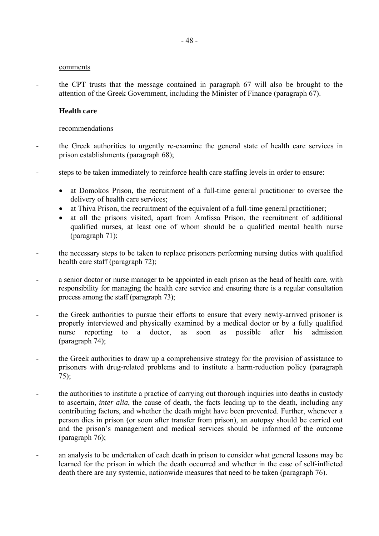#### comments

- the CPT trusts that the message contained in paragraph 67 will also be brought to the attention of the Greek Government, including the Minister of Finance (paragraph 67).

#### **Health care**

- the Greek authorities to urgently re-examine the general state of health care services in prison establishments (paragraph 68);
- steps to be taken immediately to reinforce health care staffing levels in order to ensure:
	- at Domokos Prison, the recruitment of a full-time general practitioner to oversee the delivery of health care services;
	- at Thiva Prison, the recruitment of the equivalent of a full-time general practitioner;
	- at all the prisons visited, apart from Amfissa Prison, the recruitment of additional qualified nurses, at least one of whom should be a qualified mental health nurse (paragraph 71);
- the necessary steps to be taken to replace prisoners performing nursing duties with qualified health care staff (paragraph 72);
- a senior doctor or nurse manager to be appointed in each prison as the head of health care, with responsibility for managing the health care service and ensuring there is a regular consultation process among the staff (paragraph 73);
- the Greek authorities to pursue their efforts to ensure that every newly-arrived prisoner is properly interviewed and physically examined by a medical doctor or by a fully qualified nurse reporting to a doctor, as soon as possible after his admission (paragraph 74);
- the Greek authorities to draw up a comprehensive strategy for the provision of assistance to prisoners with drug-related problems and to institute a harm-reduction policy (paragraph 75);
- the authorities to institute a practice of carrying out thorough inquiries into deaths in custody to ascertain, *inter alia*, the cause of death, the facts leading up to the death, including any contributing factors, and whether the death might have been prevented. Further, whenever a person dies in prison (or soon after transfer from prison), an autopsy should be carried out and the prison's management and medical services should be informed of the outcome (paragraph 76);
- an analysis to be undertaken of each death in prison to consider what general lessons may be learned for the prison in which the death occurred and whether in the case of self-inflicted death there are any systemic, nationwide measures that need to be taken (paragraph 76).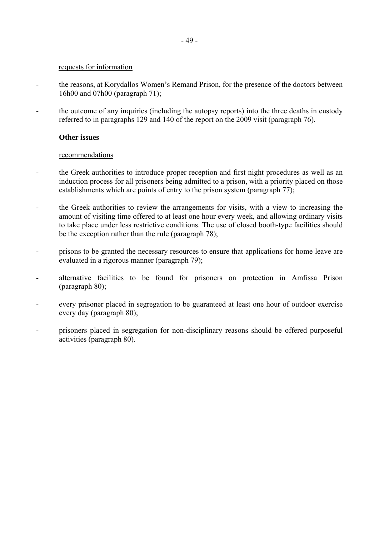#### requests for information

- the reasons, at Korydallos Women's Remand Prison, for the presence of the doctors between 16h00 and 07h00 (paragraph 71);
- the outcome of any inquiries (including the autopsy reports) into the three deaths in custody referred to in paragraphs 129 and 140 of the report on the 2009 visit (paragraph 76).

#### **Other issues**

- the Greek authorities to introduce proper reception and first night procedures as well as an induction process for all prisoners being admitted to a prison, with a priority placed on those establishments which are points of entry to the prison system (paragraph 77);
- the Greek authorities to review the arrangements for visits, with a view to increasing the amount of visiting time offered to at least one hour every week, and allowing ordinary visits to take place under less restrictive conditions. The use of closed booth-type facilities should be the exception rather than the rule (paragraph 78);
- prisons to be granted the necessary resources to ensure that applications for home leave are evaluated in a rigorous manner (paragraph 79);
- alternative facilities to be found for prisoners on protection in Amfissa Prison (paragraph 80);
- every prisoner placed in segregation to be guaranteed at least one hour of outdoor exercise every day (paragraph 80);
- prisoners placed in segregation for non-disciplinary reasons should be offered purposeful activities (paragraph 80).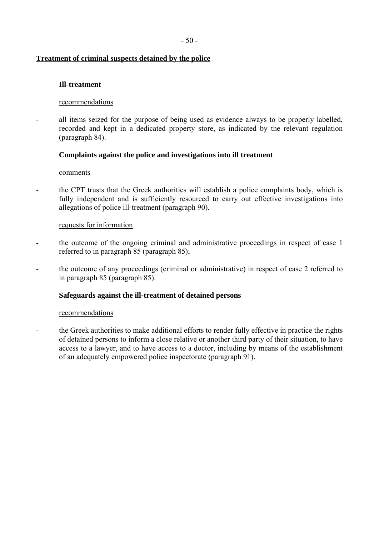# **Treatment of criminal suspects detained by the police**

## **Ill-treatment**

## recommendations

- all items seized for the purpose of being used as evidence always to be properly labelled, recorded and kept in a dedicated property store, as indicated by the relevant regulation (paragraph 84).

## **Complaints against the police and investigations into ill treatment**

#### comments

- the CPT trusts that the Greek authorities will establish a police complaints body, which is fully independent and is sufficiently resourced to carry out effective investigations into allegations of police ill-treatment (paragraph 90).

#### requests for information

- the outcome of the ongoing criminal and administrative proceedings in respect of case 1 referred to in paragraph 85 (paragraph 85);
- the outcome of any proceedings (criminal or administrative) in respect of case 2 referred to in paragraph 85 (paragraph 85).

## **Safeguards against the ill-treatment of detained persons**

#### recommendations

the Greek authorities to make additional efforts to render fully effective in practice the rights of detained persons to inform a close relative or another third party of their situation, to have access to a lawyer, and to have access to a doctor, including by means of the establishment of an adequately empowered police inspectorate (paragraph 91).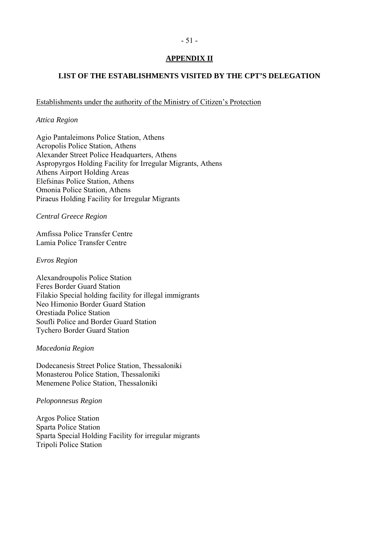# - 51 -

# **APPENDIX II**

# **LIST OF THE ESTABLISHMENTS VISITED BY THE CPT'S DELEGATION**

Establishments under the authority of the Ministry of Citizen's Protection

## *Attica Region*

Agio Pantaleimons Police Station, Athens Acropolis Police Station, Athens Alexander Street Police Headquarters, Athens Aspropyrgos Holding Facility for Irregular Migrants, Athens Athens Airport Holding Areas Elefsinas Police Station, Athens Omonia Police Station, Athens Piraeus Holding Facility for Irregular Migrants

*Central Greece Region* 

Amfissa Police Transfer Centre Lamia Police Transfer Centre

## *Evros Region*

Alexandroupolis Police Station Feres Border Guard Station Filakio Special holding facility for illegal immigrants Neo Himonio Border Guard Station Orestiada Police Station Soufli Police and Border Guard Station Tychero Border Guard Station

## *Macedonia Region*

Dodecanesis Street Police Station, Thessaloniki Monasterou Police Station, Thessaloniki Menemene Police Station, Thessaloniki

## *Peloponnesus Region*

Argos Police Station Sparta Police Station Sparta Special Holding Facility for irregular migrants Tripoli Police Station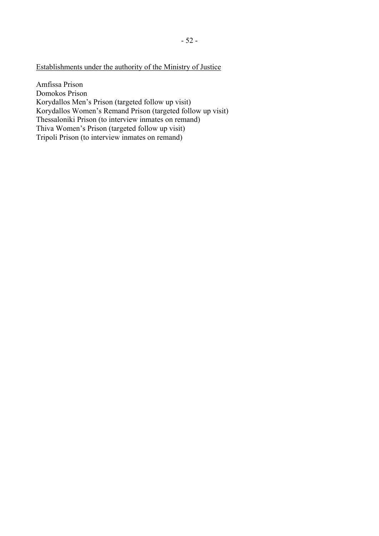# Establishments under the authority of the Ministry of Justice

Amfissa Prison Domokos Prison Korydallos Men's Prison (targeted follow up visit) Korydallos Women's Remand Prison (targeted follow up visit) Thessaloniki Prison (to interview inmates on remand) Thiva Women's Prison (targeted follow up visit) Tripoli Prison (to interview inmates on remand)